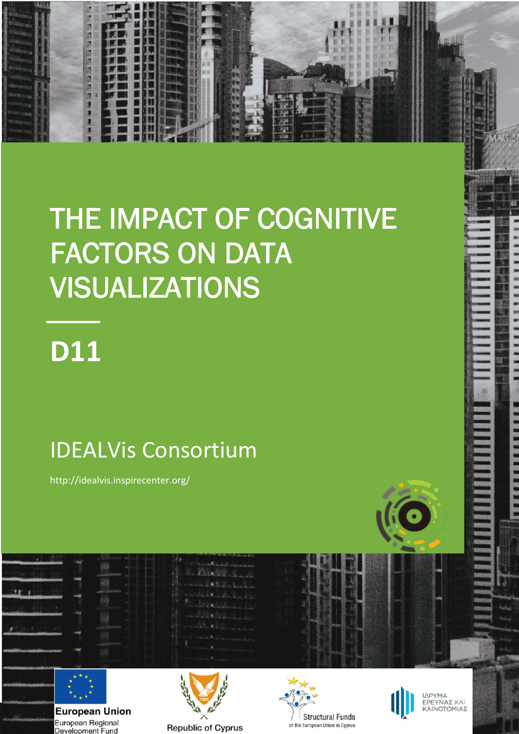# THE IMPACT OF COGNITIVE FACTORS ON DATA VISUALIZATIONS

# **D11**  $\frac{1}{\Gamma}$

**1**

2010年10月

# IDEALVis Consortium

http://idealvis.inspirecenter.org/



**European Union** European Regional Development Fund





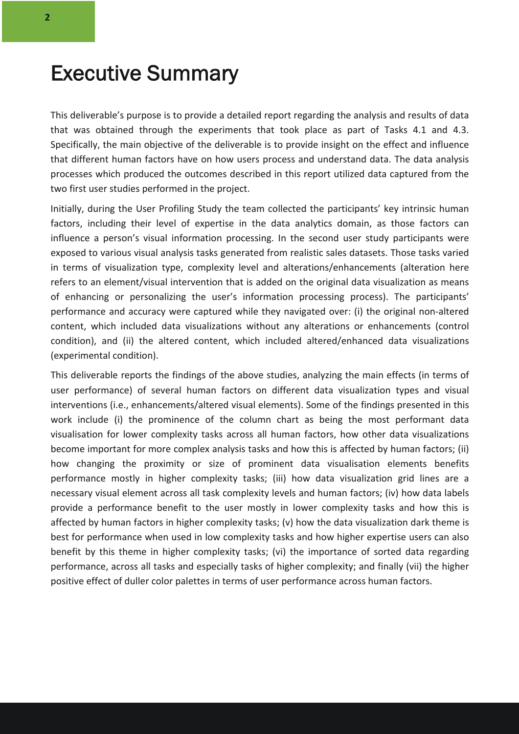# Executive Summary

This deliverable's purpose is to provide a detailed report regarding the analysis and results of data that was obtained through the experiments that took place as part of Tasks 4.1 and 4.3. Specifically, the main objective of the deliverable is to provide insight on the effect and influence that different human factors have on how users process and understand data. The data analysis processes which produced the outcomes described in this report utilized data captured from the two first user studies performed in the project.

Initially, during the User Profiling Study the team collected the participants' key intrinsic human factors, including their level of expertise in the data analytics domain, as those factors can influence a person's visual information processing. In the second user study participants were exposed to various visual analysis tasks generated from realistic sales datasets. Those tasks varied in terms of visualization type, complexity level and alterations/enhancements (alteration here refers to an element/visual intervention that is added on the original data visualization as means of enhancing or personalizing the user's information processing process). The participants' performance and accuracy were captured while they navigated over: (i) the original non-altered content, which included data visualizations without any alterations or enhancements (control condition), and (ii) the altered content, which included altered/enhanced data visualizations (experimental condition).

This deliverable reports the findings of the above studies, analyzing the main effects (in terms of user performance) of several human factors on different data visualization types and visual interventions (i.e., enhancements/altered visual elements). Some of the findings presented in this work include (i) the prominence of the column chart as being the most performant data visualisation for lower complexity tasks across all human factors, how other data visualizations become important for more complex analysis tasks and how this is affected by human factors; (ii) how changing the proximity or size of prominent data visualisation elements benefits performance mostly in higher complexity tasks; (iii) how data visualization grid lines are a necessary visual element across all task complexity levels and human factors; (iv) how data labels provide a performance benefit to the user mostly in lower complexity tasks and how this is affected by human factors in higher complexity tasks; (v) how the data visualization dark theme is best for performance when used in low complexity tasks and how higher expertise users can also benefit by this theme in higher complexity tasks; (vi) the importance of sorted data regarding performance, across all tasks and especially tasks of higher complexity; and finally (vii) the higher positive effect of duller color palettes in terms of user performance across human factors.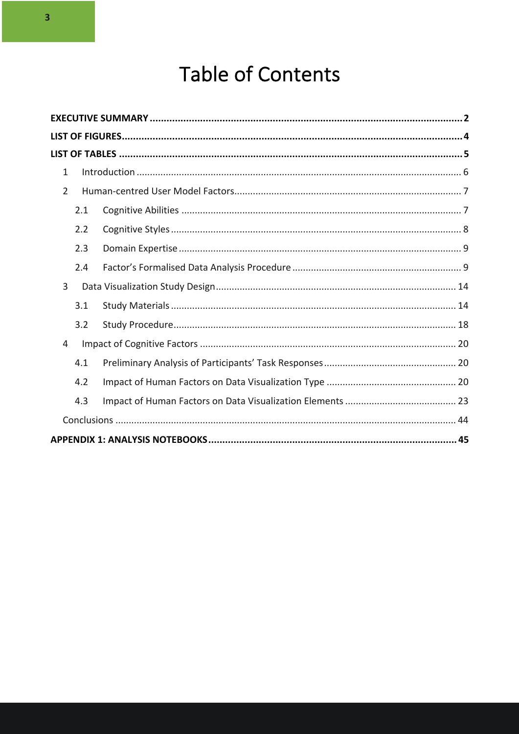# Table of Contents

| $\mathbf{1}$   |  |
|----------------|--|
| $\overline{2}$ |  |
| 2.1            |  |
| 2.2            |  |
| 2.3            |  |
| 2.4            |  |
| 3              |  |
| 3.1            |  |
| 3.2            |  |
| 4              |  |
| 4.1            |  |
| 4.2            |  |
| 4.3            |  |
|                |  |
|                |  |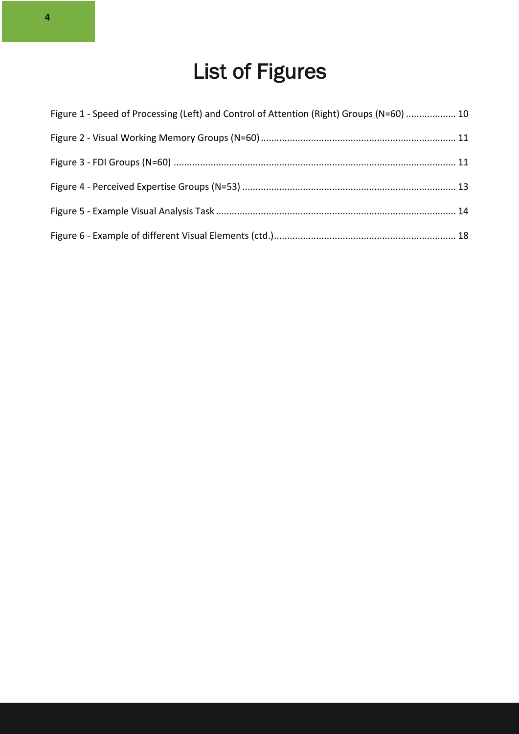# List of Figures

| Figure 1 - Speed of Processing (Left) and Control of Attention (Right) Groups (N=60)  10 |  |
|------------------------------------------------------------------------------------------|--|
|                                                                                          |  |
|                                                                                          |  |
|                                                                                          |  |
|                                                                                          |  |
|                                                                                          |  |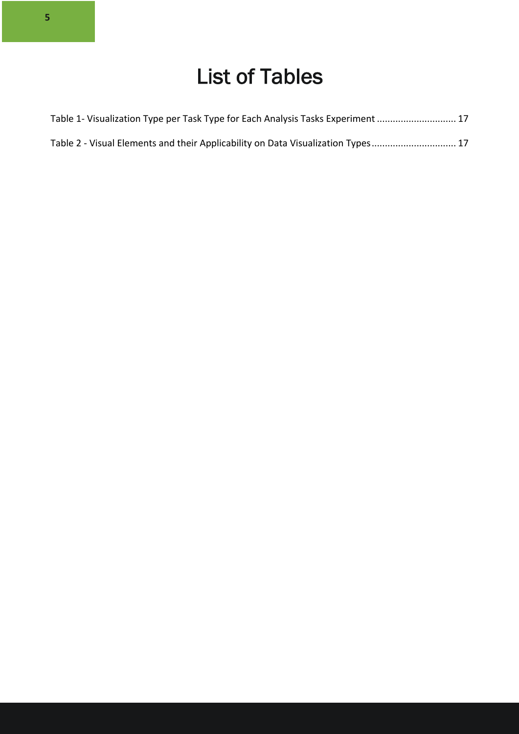# List of Tables

| Table 1- Visualization Type per Task Type for Each Analysis Tasks Experiment  17 |  |
|----------------------------------------------------------------------------------|--|
| Table 2 - Visual Elements and their Applicability on Data Visualization Types 17 |  |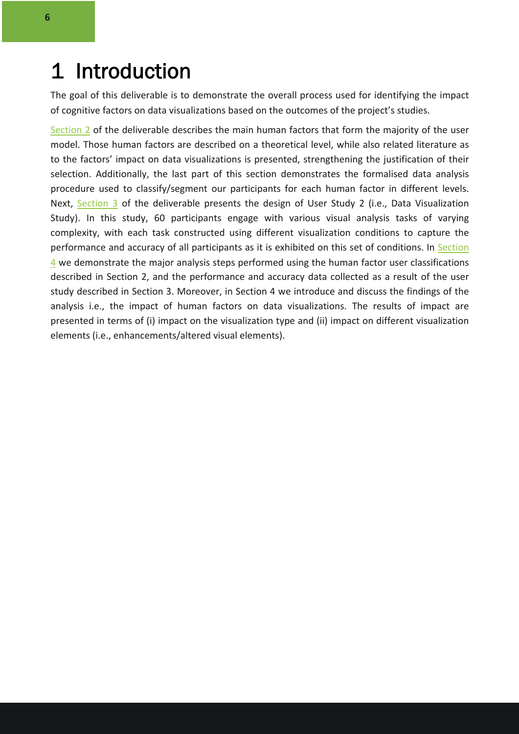### 1 Introduction

The goal of this deliverable is to demonstrate the overall process used for identifying the impact of cognitive factors on data visualizations based on the outcomes of the project's studies.

Section 2 of the deliverable describes the main human factors that form the majority of the user model. Those human factors are described on a theoretical level, while also related literature as to the factors' impact on data visualizations is presented, strengthening the justification of their selection. Additionally, the last part of this section demonstrates the formalised data analysis procedure used to classify/segment our participants for each human factor in different levels. Next, Section 3 of the deliverable presents the design of User Study 2 (i.e., Data Visualization Study). In this study, 60 participants engage with various visual analysis tasks of varying complexity, with each task constructed using different visualization conditions to capture the performance and accuracy of all participants as it is exhibited on this set of conditions. In Section 4 we demonstrate the major analysis steps performed using the human factor user classifications described in Section 2, and the performance and accuracy data collected as a result of the user study described in Section 3. Moreover, in Section 4 we introduce and discuss the findings of the analysis i.e., the impact of human factors on data visualizations. The results of impact are presented in terms of (i) impact on the visualization type and (ii) impact on different visualization elements (i.e., enhancements/altered visual elements).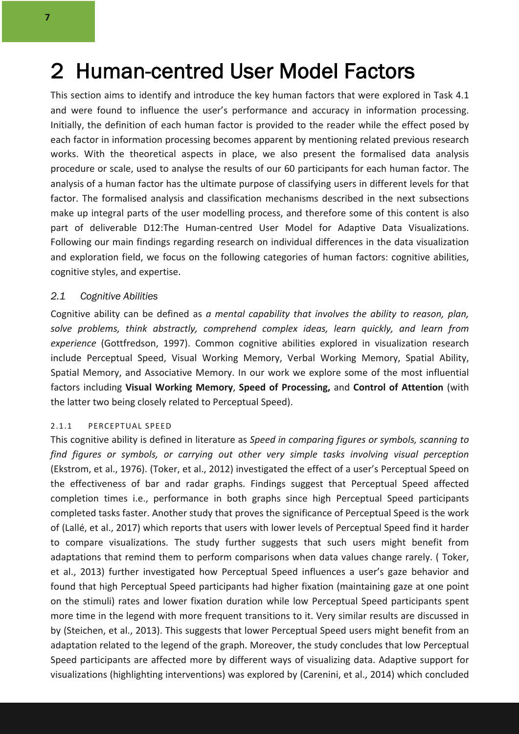# 2 Human-centred User Model Factors

This section aims to identify and introduce the key human factors that were explored in Task 4.1 and were found to influence the user's performance and accuracy in information processing. Initially, the definition of each human factor is provided to the reader while the effect posed by each factor in information processing becomes apparent by mentioning related previous research works. With the theoretical aspects in place, we also present the formalised data analysis procedure or scale, used to analyse the results of our 60 participants for each human factor. The analysis of a human factor has the ultimate purpose of classifying users in different levels for that factor. The formalised analysis and classification mechanisms described in the next subsections make up integral parts of the user modelling process, and therefore some of this content is also part of deliverable D12:The Human-centred User Model for Adaptive Data Visualizations. Following our main findings regarding research on individual differences in the data visualization and exploration field, we focus on the following categories of human factors: cognitive abilities, cognitive styles, and expertise.

#### *2.1 Cognitive Abilities*

Cognitive ability can be defined as *a mental capability that involves the ability to reason, plan, solve problems, think abstractly, comprehend complex ideas, learn quickly, and learn from experience* (Gottfredson, 1997). Common cognitive abilities explored in visualization research include Perceptual Speed, Visual Working Memory, Verbal Working Memory, Spatial Ability, Spatial Memory, and Associative Memory. In our work we explore some of the most influential factors including **Visual Working Memory**, **Speed of Processing,** and **Control of Attention** (with the latter two being closely related to Perceptual Speed).

#### 2.1.1 PERCEPTUAL SPEED

This cognitive ability is defined in literature as *Speed in comparing figures or symbols, scanning to find figures or symbols, or carrying out other very simple tasks involving visual perception* (Ekstrom, et al., 1976). (Toker, et al., 2012) investigated the effect of a user's Perceptual Speed on the effectiveness of bar and radar graphs. Findings suggest that Perceptual Speed affected completion times i.e., performance in both graphs since high Perceptual Speed participants completed tasks faster. Another study that proves the significance of Perceptual Speed is the work of (Lallé, et al., 2017) which reports that users with lower levels of Perceptual Speed find it harder to compare visualizations. The study further suggests that such users might benefit from adaptations that remind them to perform comparisons when data values change rarely. ( Toker, et al., 2013) further investigated how Perceptual Speed influences a user's gaze behavior and found that high Perceptual Speed participants had higher fixation (maintaining gaze at one point on the stimuli) rates and lower fixation duration while low Perceptual Speed participants spent more time in the legend with more frequent transitions to it. Very similar results are discussed in by (Steichen, et al., 2013). This suggests that lower Perceptual Speed users might benefit from an adaptation related to the legend of the graph. Moreover, the study concludes that low Perceptual Speed participants are affected more by different ways of visualizing data. Adaptive support for visualizations (highlighting interventions) was explored by (Carenini, et al., 2014) which concluded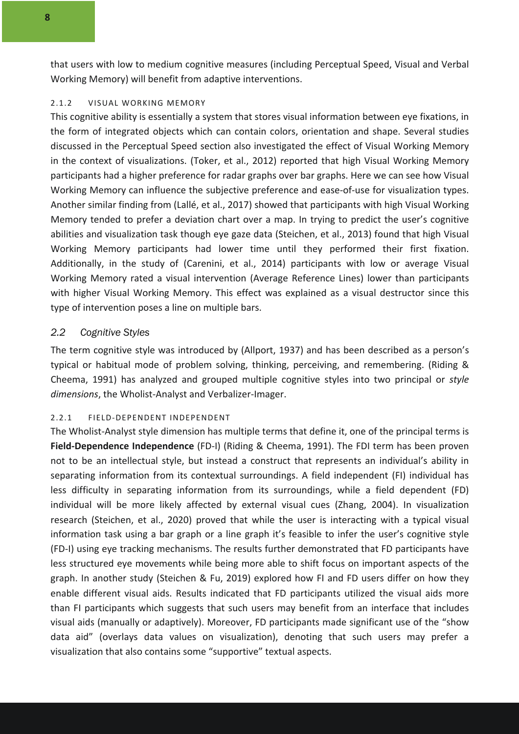that users with low to medium cognitive measures (including Perceptual Speed, Visual and Verbal Working Memory) will benefit from adaptive interventions.

#### 2.1.2 VISUAL WORKING MEMORY

This cognitive ability is essentially a system that stores visual information between eye fixations, in the form of integrated objects which can contain colors, orientation and shape. Several studies discussed in the Perceptual Speed section also investigated the effect of Visual Working Memory in the context of visualizations. (Toker, et al., 2012) reported that high Visual Working Memory participants had a higher preference for radar graphs over bar graphs. Here we can see how Visual Working Memory can influence the subjective preference and ease-of-use for visualization types. Another similar finding from (Lallé, et al., 2017) showed that participants with high Visual Working Memory tended to prefer a deviation chart over a map. In trying to predict the user's cognitive abilities and visualization task though eye gaze data (Steichen, et al., 2013) found that high Visual Working Memory participants had lower time until they performed their first fixation. Additionally, in the study of (Carenini, et al., 2014) participants with low or average Visual Working Memory rated a visual intervention (Average Reference Lines) lower than participants with higher Visual Working Memory. This effect was explained as a visual destructor since this type of intervention poses a line on multiple bars.

#### *2.2 Cognitive Styles*

The term cognitive style was introduced by (Allport, 1937) and has been described as a person's typical or habitual mode of problem solving, thinking, perceiving, and remembering. (Riding & Cheema, 1991) has analyzed and grouped multiple cognitive styles into two principal or *style dimensions*, the Wholist-Analyst and Verbalizer-Imager.

#### 2.2.1 FIELD-DEPENDENT INDEPENDENT

The Wholist-Analyst style dimension has multiple terms that define it, one of the principal terms is **Field-Dependence Independence** (FD-I) (Riding & Cheema, 1991). The FDI term has been proven not to be an intellectual style, but instead a construct that represents an individual's ability in separating information from its contextual surroundings. A field independent (FI) individual has less difficulty in separating information from its surroundings, while a field dependent (FD) individual will be more likely affected by external visual cues (Zhang, 2004). In visualization research (Steichen, et al., 2020) proved that while the user is interacting with a typical visual information task using a bar graph or a line graph it's feasible to infer the user's cognitive style (FD-I) using eye tracking mechanisms. The results further demonstrated that FD participants have less structured eye movements while being more able to shift focus on important aspects of the graph. In another study (Steichen & Fu, 2019) explored how FI and FD users differ on how they enable different visual aids. Results indicated that FD participants utilized the visual aids more than FI participants which suggests that such users may benefit from an interface that includes visual aids (manually or adaptively). Moreover, FD participants made significant use of the "show data aid" (overlays data values on visualization), denoting that such users may prefer a visualization that also contains some "supportive" textual aspects.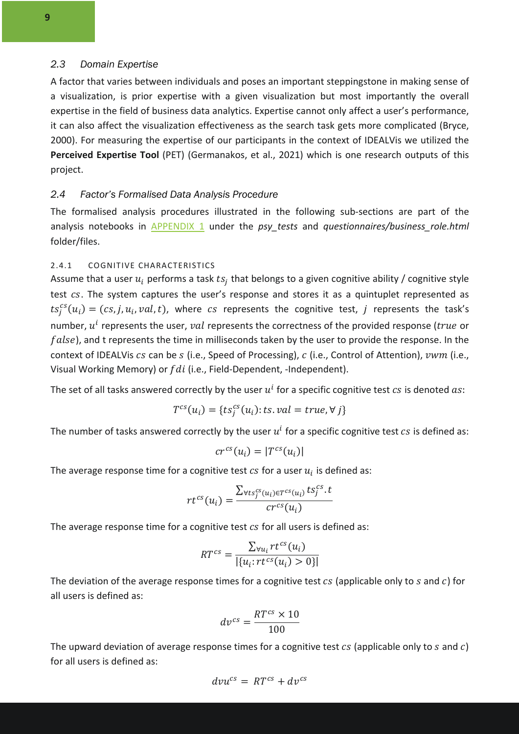#### *2.3 Domain Expertise*

A factor that varies between individuals and poses an important steppingstone in making sense of a visualization, is prior expertise with a given visualization but most importantly the overall expertise in the field of business data analytics. Expertise cannot only affect a user's performance, it can also affect the visualization effectiveness as the search task gets more complicated (Bryce, 2000). For measuring the expertise of our participants in the context of IDEALVis we utilized the **Perceived Expertise Tool** (PET) (Germanakos, et al., 2021) which is one research outputs of this project.

#### *2.4 Factor's Formalised Data Analysis Procedure*

The formalised analysis procedures illustrated in the following sub-sections are part of the analysis notebooks in APPENDIX 1 under the *psy tests* and *questionnaires/business role.html* folder/files.

#### 2.4.1 COGNITIVE CHARACTERISTICS

Assume that a user  $u_i$  performs a task  $ts_i$  that belongs to a given cognitive ability / cognitive style test  $cs$ . The system captures the user's response and stores it as a quintuplet represented as  $ts_j^{cs}(u_i) = (cs, j, u_i, val, t)$ , where cs represents the cognitive test, j represents the task's number,  $u^i$  represents the user, val represents the correctness of the provided response (*true* or false), and t represents the time in milliseconds taken by the user to provide the response. In the context of IDEALVis  $cs$  can be  $s$  (i.e., Speed of Processing),  $c$  (i.e., Control of Attention),  $vwm$  (i.e., Visual Working Memory) or *f di* (i.e., Field-Dependent, -Independent).

The set of all tasks answered correctly by the user  $u^i$  for a specific cognitive test  $cs$  is denoted  $as$ :

$$
T^{cs}(u_i) = \{ ts_j^{cs}(u_i) : ts, val = true, \forall j \}
$$

The number of tasks answered correctly by the user  $u^i$  for a specific cognitive test  $cs$  is defined as:

$$
cr^{cs}(u_i) = |T^{cs}(u_i)|
$$

The average response time for a cognitive test  $cs$  for a user  $u_i$  is defined as:

$$
rt^{cs}(u_i) = \frac{\sum_{\forall ts_j^{cs}(u_i) \in T^{cs}(u_i)} ts_j^{cs} \cdot t}{cr^{cs}(u_i)}
$$

The average response time for a cognitive test  $cs$  for all users is defined as:

$$
RT^{cs} = \frac{\sum_{\forall u_i} rt^{cs}(u_i)}{|\{u_i: rt^{cs}(u_i) > 0\}|}
$$

The deviation of the average response times for a cognitive test  $cs$  (applicable only to  $s$  and  $c$ ) for all users is defined as:

$$
dv^{cs} = \frac{RT^{cs} \times 10}{100}
$$

The upward deviation of average response times for a cognitive test  $cs$  (applicable only to  $s$  and  $c$ ) for all users is defined as:

$$
dv u^{cs} = RT^{cs} + dv^{cs}
$$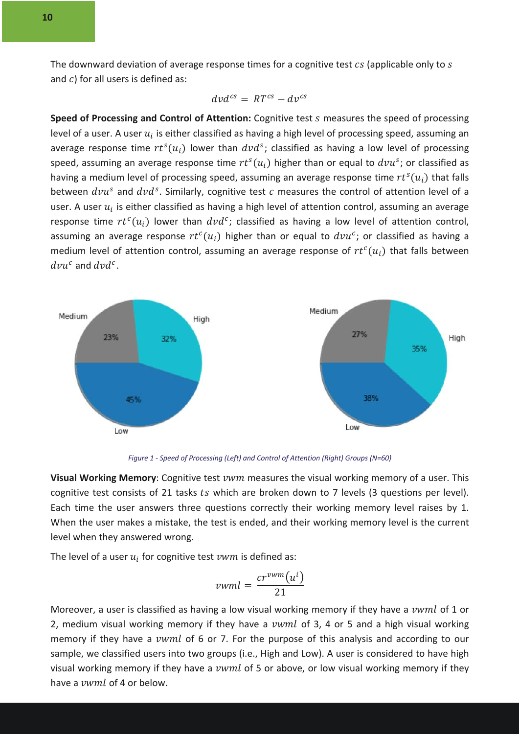The downward deviation of average response times for a cognitive test  $cs$  (applicable only to  $s$ and  $c$ ) for all users is defined as:

$$
d\nu d^{cs} = RT^{cs} - dv^{cs}
$$

**Speed of Processing and Control of Attention:** Cognitive test measures the speed of processing level of a user. A user  $u_i$  is either classified as having a high level of processing speed, assuming an average response time  $rt^s(u_i)$  lower than  $dvd^s$ ; classified as having a low level of processing speed, assuming an average response time  $rt<sup>s</sup>(u<sub>i</sub>)$  higher than or equal to  $dvu<sup>s</sup>$ ; or classified as having a medium level of processing speed, assuming an average response time  $rt<sup>s</sup>(u<sub>i</sub>)$  that falls between  $dvu^s$  and  $dvd^s$ . Similarly, cognitive test c measures the control of attention level of a user. A user  $u_i$  is either classified as having a high level of attention control, assuming an average response time  $rt^c(u_i)$  lower than  $dvd^c$ ; classified as having a low level of attention control, assuming an average response  $rt^c(u_i)$  higher than or equal to  $dvu^c$ ; or classified as having a medium level of attention control, assuming an average response of  $rt^c(u_i)$  that falls between  $dvu^c$  and  $dvd^c$ .



*Figure 1 - Speed of Processing (Left) and Control of Attention (Right) Groups (N=60)*

**Visual Working Memory**: Cognitive test *vwm* measures the visual working memory of a user. This cognitive test consists of 21 tasks ts which are broken down to 7 levels (3 questions per level). Each time the user answers three questions correctly their working memory level raises by 1. When the user makes a mistake, the test is ended, and their working memory level is the current level when they answered wrong.

The level of a user  $u_i$  for cognitive test  $vwm$  is defined as:

$$
vwml = \frac{cr^{vwm}(u^i)}{21}
$$

Moreover, a user is classified as having a low visual working memory if they have a  $vwnd$  of 1 or 2, medium visual working memory if they have a  $vwnd$  of 3, 4 or 5 and a high visual working memory if they have a *vwml* of 6 or 7. For the purpose of this analysis and according to our sample, we classified users into two groups (i.e., High and Low). A user is considered to have high visual working memory if they have a  $vwnd$  of 5 or above, or low visual working memory if they have a  $vwml$  of 4 or below.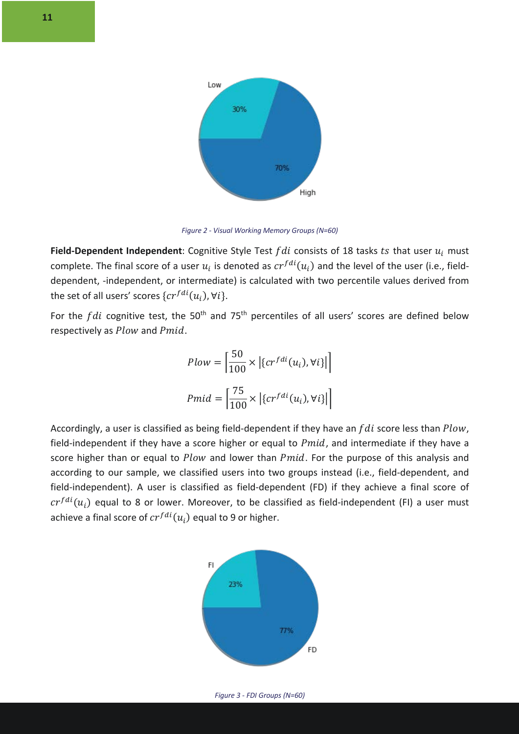

*Figure 2 - Visual Working Memory Groups (N=60)*

**Field-Dependent Independent**: Cognitive Style Test  $fdi$  consists of 18 tasks  $ts$  that user  $u_i$  must complete. The final score of a user  $u_i$  is denoted as  $cr^{fdi}(u_i)$  and the level of the user (i.e., fielddependent, -independent, or intermediate) is calculated with two percentile values derived from the set of all users' scores  $\{cr^{fdi}(u_i), \forall i\}.$ 

For the  $fdi$  cognitive test, the 50<sup>th</sup> and 75<sup>th</sup> percentiles of all users' scores are defined below respectively as  $Plow$  and  $Pmid.$ 

$$
Plow = \left| \frac{50}{100} \times \left| \{ cr^{fdi}(u_i), \forall i \} \right| \right|
$$
  

$$
Pmid = \left| \frac{75}{100} \times \left| \{ cr^{fdi}(u_i), \forall i \} \right| \right|
$$

Accordingly, a user is classified as being field-dependent if they have an  $fdi$  score less than  $Plow$ , field-independent if they have a score higher or equal to  $Pmid$ , and intermediate if they have a score higher than or equal to  $Plow$  and lower than  $Pmid$ . For the purpose of this analysis and according to our sample, we classified users into two groups instead (i.e., field-dependent, and field-independent). A user is classified as field-dependent (FD) if they achieve a final score of  $cr<sup>fdi</sup>(u<sub>i</sub>)$  equal to 8 or lower. Moreover, to be classified as field-independent (FI) a user must achieve a final score of  $cr^{fdi}(u_i)$  equal to 9 or higher.

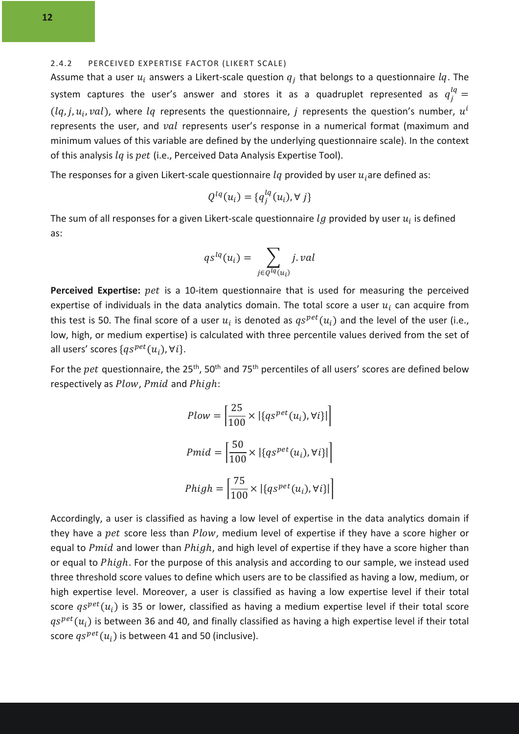#### 2.4.2 PERCEIVED EXPERTISE FACTOR (LIKERT SCALE)

Assume that a user  $u_i$  answers a Likert-scale question  $q_i$  that belongs to a questionnaire  $lq$ . The system captures the user's answer and stores it as a quadruplet represented as  $q_j^{lq} =$  $(lq, j, u_i, val)$ , where  $lq$  represents the questionnaire, *i* represents the question's number,  $u^i$ represents the user, and val represents user's response in a numerical format (maximum and minimum values of this variable are defined by the underlying questionnaire scale). In the context of this analysis  $lq$  is  $pet$  (i.e., Perceived Data Analysis Expertise Tool).

The responses for a given Likert-scale questionnaire  $lq$  provided by user  $u_i$  are defined as:

$$
Q^{lq}(u_i) = \{q_j^{lq}(u_i), \forall j\}
$$

The sum of all responses for a given Likert-scale questionnaire  $lg$  provided by user  $u_i$  is defined as:

$$
qs^{lq}(u_i) = \sum_{j \in Q^{lq}(u_i)} j.val
$$

Perceived Expertise: pet is a 10-item questionnaire that is used for measuring the perceived expertise of individuals in the data analytics domain. The total score a user  $u_i$  can acquire from this test is 50. The final score of a user  $u_i$  is denoted as  $qs^{pet}(u_i)$  and the level of the user (i.e., low, high, or medium expertise) is calculated with three percentile values derived from the set of all users' scores  $\{qs^{pet}(u_i), \forall i\}.$ 

For the *pet* questionnaire, the 25<sup>th</sup>, 50<sup>th</sup> and 75<sup>th</sup> percentiles of all users' scores are defined below respectively as  $Plow$ ,  $Pmid$  and  $Phigh$ :

$$
Flow = \left| \frac{25}{100} \times | \{ qs^{pet}(u_i), \forall i \} | \right|
$$
  

$$
Pmid = \left| \frac{50}{100} \times | \{ qs^{pet}(u_i), \forall i \} | \right|
$$
  

$$
Phigh = \left| \frac{75}{100} \times | \{ qs^{pet}(u_i), \forall i \} | \right|
$$

Accordingly, a user is classified as having a low level of expertise in the data analytics domain if they have a pet score less than Plow, medium level of expertise if they have a score higher or equal to  $Pmid$  and lower than  $Phigh$ , and high level of expertise if they have a score higher than or equal to *Phigh*. For the purpose of this analysis and according to our sample, we instead used three threshold score values to define which users are to be classified as having a low, medium, or high expertise level. Moreover, a user is classified as having a low expertise level if their total score  $q s^{pet}(u_i)$  is 35 or lower, classified as having a medium expertise level if their total score  $qS^{pet}(u_i)$  is between 36 and 40, and finally classified as having a high expertise level if their total score  $qs^{pet}(u_i)$  is between 41 and 50 (inclusive).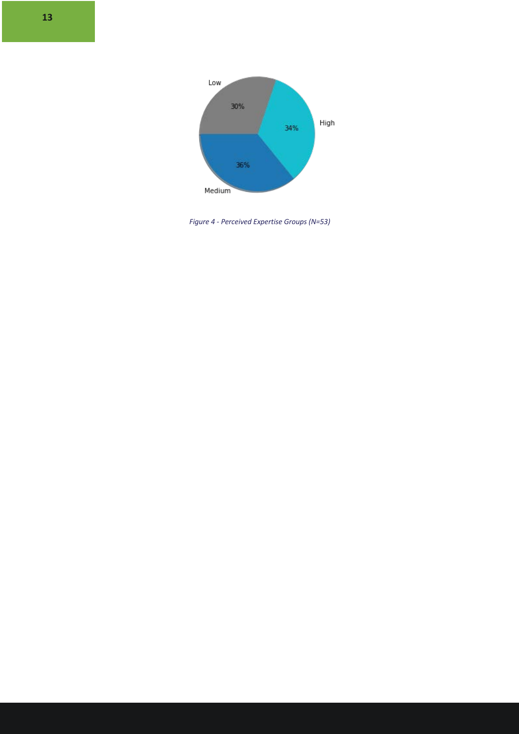

*Figure 4 - Perceived Expertise Groups (N=53)*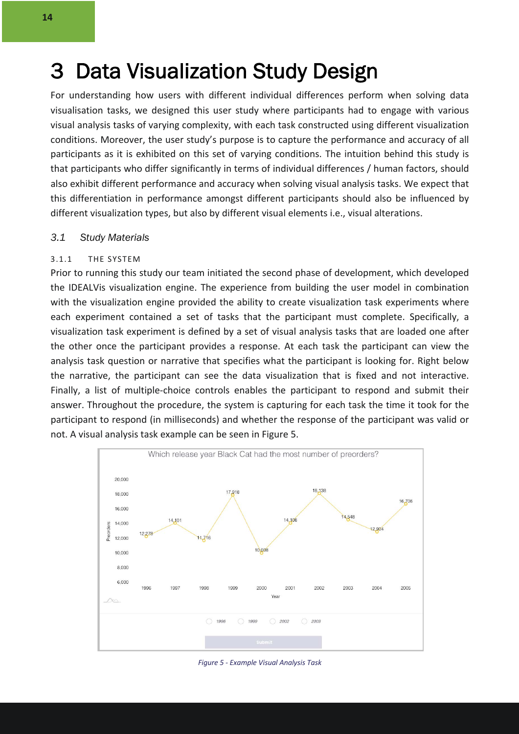For understanding how users with different individual differences perform when solving data visualisation tasks, we designed this user study where participants had to engage with various visual analysis tasks of varying complexity, with each task constructed using different visualization conditions. Moreover, the user study's purpose is to capture the performance and accuracy of all participants as it is exhibited on this set of varying conditions. The intuition behind this study is that participants who differ significantly in terms of individual differences / human factors, should also exhibit different performance and accuracy when solving visual analysis tasks. We expect that this differentiation in performance amongst different participants should also be influenced by different visualization types, but also by different visual elements i.e., visual alterations.

#### *3.1 Study Materials*

#### 3.1.1 THE SYSTEM

Prior to running this study our team initiated the second phase of development, which developed the IDEALVis visualization engine. The experience from building the user model in combination with the visualization engine provided the ability to create visualization task experiments where each experiment contained a set of tasks that the participant must complete. Specifically, a visualization task experiment is defined by a set of visual analysis tasks that are loaded one after the other once the participant provides a response. At each task the participant can view the analysis task question or narrative that specifies what the participant is looking for. Right below the narrative, the participant can see the data visualization that is fixed and not interactive. Finally, a list of multiple-choice controls enables the participant to respond and submit their answer. Throughout the procedure, the system is capturing for each task the time it took for the participant to respond (in milliseconds) and whether the response of the participant was valid or not. A visual analysis task example can be seen in Figure 5.



*Figure 5 - Example Visual Analysis Task*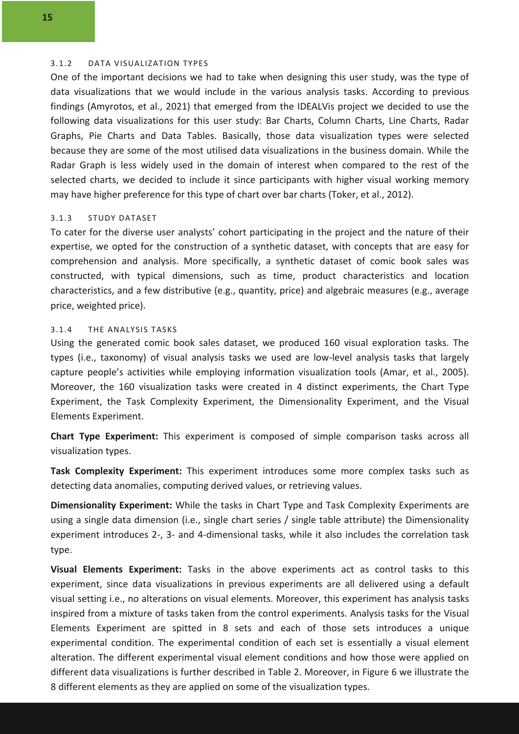#### 3.1.2 DATA VISUALIZATION TYPES

One of the important decisions we had to take when designing this user study, was the type of data visualizations that we would include in the various analysis tasks. According to previous findings (Amyrotos, et al., 2021) that emerged from the IDEALVis project we decided to use the following data visualizations for this user study: Bar Charts, Column Charts, Line Charts, Radar Graphs, Pie Charts and Data Tables. Basically, those data visualization types were selected because they are some of the most utilised data visualizations in the business domain. While the Radar Graph is less widely used in the domain of interest when compared to the rest of the selected charts, we decided to include it since participants with higher visual working memory may have higher preference for this type of chart over bar charts (Toker, et al., 2012).

#### 3.1.3 STUDY DATASET

To cater for the diverse user analysts' cohort participating in the project and the nature of their expertise, we opted for the construction of a synthetic dataset, with concepts that are easy for comprehension and analysis. More specifically, a synthetic dataset of comic book sales was constructed, with typical dimensions, such as time, product characteristics and location characteristics, and a few distributive (e.g., quantity, price) and algebraic measures (e.g., average price, weighted price).

#### 3.1.4 THE ANALYSIS TASKS

Using the generated comic book sales dataset, we produced 160 visual exploration tasks. The types (i.e., taxonomy) of visual analysis tasks we used are low-level analysis tasks that largely capture people's activities while employing information visualization tools (Amar, et al., 2005). Moreover, the 160 visualization tasks were created in 4 distinct experiments, the Chart Type Experiment, the Task Complexity Experiment, the Dimensionality Experiment, and the Visual Elements Experiment.

**Chart Type Experiment:** This experiment is composed of simple comparison tasks across all visualization types.

**Task Complexity Experiment:** This experiment introduces some more complex tasks such as detecting data anomalies, computing derived values, or retrieving values.

**Dimensionality Experiment:** While the tasks in Chart Type and Task Complexity Experiments are using a single data dimension (i.e., single chart series / single table attribute) the Dimensionality experiment introduces 2-, 3- and 4-dimensional tasks, while it also includes the correlation task type.

**Visual Elements Experiment:** Tasks in the above experiments act as control tasks to this experiment, since data visualizations in previous experiments are all delivered using a default visual setting i.e., no alterations on visual elements. Moreover, this experiment has analysis tasks inspired from a mixture of tasks taken from the control experiments. Analysis tasks for the Visual Elements Experiment are spitted in 8 sets and each of those sets introduces a unique experimental condition. The experimental condition of each set is essentially a visual element alteration. The different experimental visual element conditions and how those were applied on different data visualizations is further described in Table 2. Moreover, in Figure 6 we illustrate the 8 different elements as they are applied on some of the visualization types.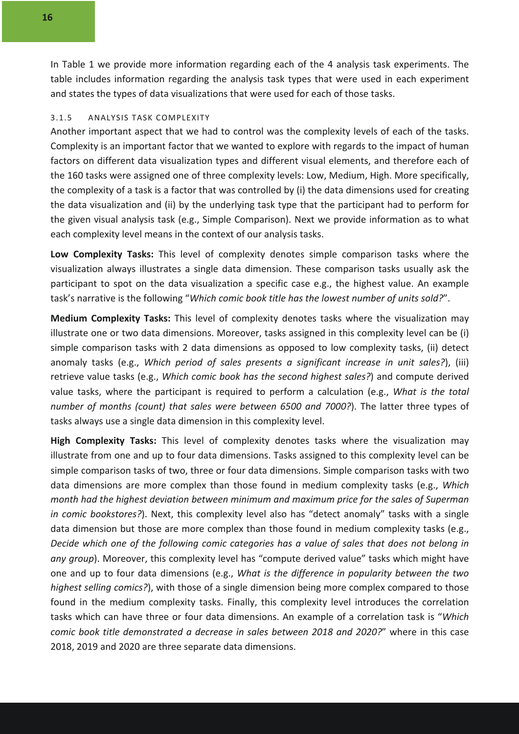In Table 1 we provide more information regarding each of the 4 analysis task experiments. The table includes information regarding the analysis task types that were used in each experiment and states the types of data visualizations that were used for each of those tasks.

#### 3.1.5 ANALYSIS TASK COMPLEXITY

Another important aspect that we had to control was the complexity levels of each of the tasks. Complexity is an important factor that we wanted to explore with regards to the impact of human factors on different data visualization types and different visual elements, and therefore each of the 160 tasks were assigned one of three complexity levels: Low, Medium, High. More specifically, the complexity of a task is a factor that was controlled by (i) the data dimensions used for creating the data visualization and (ii) by the underlying task type that the participant had to perform for the given visual analysis task (e.g., Simple Comparison). Next we provide information as to what each complexity level means in the context of our analysis tasks.

**Low Complexity Tasks:** This level of complexity denotes simple comparison tasks where the visualization always illustrates a single data dimension. These comparison tasks usually ask the participant to spot on the data visualization a specific case e.g., the highest value. An example task's narrative is the following "*Which comic book title has the lowest number of units sold?*".

**Medium Complexity Tasks:** This level of complexity denotes tasks where the visualization may illustrate one or two data dimensions. Moreover, tasks assigned in this complexity level can be (i) simple comparison tasks with 2 data dimensions as opposed to low complexity tasks, (ii) detect anomaly tasks (e.g., *Which period of sales presents a significant increase in unit sales?*), (iii) retrieve value tasks (e.g., *Which comic book has the second highest sales?*) and compute derived value tasks, where the participant is required to perform a calculation (e.g., *What is the total number of months (count) that sales were between 6500 and 7000?*). The latter three types of tasks always use a single data dimension in this complexity level.

**High Complexity Tasks:** This level of complexity denotes tasks where the visualization may illustrate from one and up to four data dimensions. Tasks assigned to this complexity level can be simple comparison tasks of two, three or four data dimensions. Simple comparison tasks with two data dimensions are more complex than those found in medium complexity tasks (e.g., *Which month had the highest deviation between minimum and maximum price for the sales of Superman in comic bookstores?*). Next, this complexity level also has "detect anomaly" tasks with a single data dimension but those are more complex than those found in medium complexity tasks (e.g., *Decide which one of the following comic categories has a value of sales that does not belong in any group*). Moreover, this complexity level has "compute derived value" tasks which might have one and up to four data dimensions (e.g., *What is the difference in popularity between the two highest selling comics?*), with those of a single dimension being more complex compared to those found in the medium complexity tasks. Finally, this complexity level introduces the correlation tasks which can have three or four data dimensions. An example of a correlation task is "*Which comic book title demonstrated a decrease in sales between 2018 and 2020?*" where in this case 2018, 2019 and 2020 are three separate data dimensions.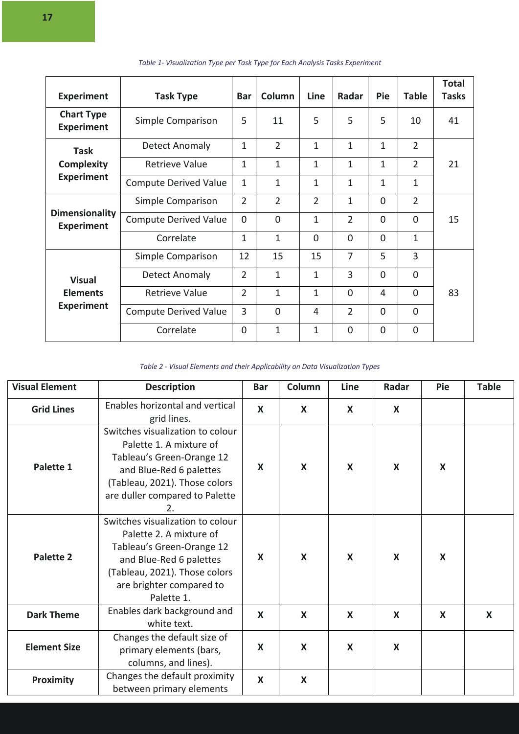| <b>Experiment</b>                          | <b>Task Type</b>             | <b>Bar</b>     | Column         | Line           | Radar          | <b>Pie</b>     | <b>Table</b>   | <b>Total</b><br><b>Tasks</b> |
|--------------------------------------------|------------------------------|----------------|----------------|----------------|----------------|----------------|----------------|------------------------------|
| <b>Chart Type</b><br><b>Experiment</b>     | Simple Comparison            |                | 11             | 5              | 5              | 5              | 10             | 41                           |
| <b>Task</b>                                | Detect Anomaly               | 1              | $\overline{2}$ | $\mathbf{1}$   | 1              | $\mathbf{1}$   | $\overline{2}$ |                              |
| <b>Complexity</b>                          | <b>Retrieve Value</b>        | 1              | $\mathbf{1}$   | 1              | 1              | 1              | $\overline{2}$ | 21                           |
| <b>Experiment</b>                          | <b>Compute Derived Value</b> | $\mathbf{1}$   | $\mathbf{1}$   | 1              | 1              | $\mathbf{1}$   | $\mathbf{1}$   |                              |
|                                            | Simple Comparison            | $\overline{2}$ | $\overline{2}$ | $\overline{2}$ | 1              | $\overline{0}$ | $\overline{2}$ |                              |
| <b>Dimensionality</b><br><b>Experiment</b> | <b>Compute Derived Value</b> | $\Omega$       | $\Omega$       | $\mathbf{1}$   | $\overline{2}$ | $\Omega$       | $\Omega$       | 15                           |
|                                            | Correlate                    | $\overline{1}$ | $\overline{1}$ | $\overline{0}$ | $\overline{0}$ | $\overline{0}$ | $\mathbf{1}$   |                              |
|                                            | Simple Comparison            | 12             | 15             | 15             | $\overline{7}$ | 5              | $\overline{3}$ |                              |
| <b>Visual</b>                              | Detect Anomaly               | $\overline{2}$ | $\mathbf{1}$   | $\mathbf{1}$   | 3              | $\overline{0}$ | $\mathbf 0$    |                              |
| <b>Elements</b><br><b>Experiment</b>       | Retrieve Value               | $\overline{2}$ | $\mathbf{1}$   | $\mathbf{1}$   | $\Omega$       | 4              | $\Omega$       | 83                           |
|                                            | <b>Compute Derived Value</b> | 3              | $\Omega$       | 4              | $\overline{2}$ | $\Omega$       | $\mathbf 0$    |                              |
|                                            | Correlate                    | $\Omega$       | $\mathbf{1}$   | 1              | $\Omega$       | $\Omega$       | $\overline{0}$ |                              |

*Table 1- Visualization Type per Task Type for Each Analysis Tasks Experiment*

#### *Table 2 - Visual Elements and their Applicability on Data Visualization Types*

| <b>Visual Element</b> | <b>Description</b>                                                                                                                                                                             | <b>Bar</b>                | Column | Line                      | Radar                     | Pie | <b>Table</b> |
|-----------------------|------------------------------------------------------------------------------------------------------------------------------------------------------------------------------------------------|---------------------------|--------|---------------------------|---------------------------|-----|--------------|
| <b>Grid Lines</b>     | Enables horizontal and vertical<br>grid lines.                                                                                                                                                 | X                         | X      | X                         | $\boldsymbol{\mathsf{X}}$ |     |              |
| Palette 1             | Switches visualization to colour<br>Palette 1. A mixture of<br>Tableau's Green-Orange 12<br>and Blue-Red 6 palettes<br>(Tableau, 2021). Those colors<br>are duller compared to Palette<br>2.   | X                         | X      | $\boldsymbol{\mathsf{X}}$ | X                         | X   |              |
| Palette 2             | Switches visualization to colour<br>Palette 2. A mixture of<br>Tableau's Green-Orange 12<br>and Blue-Red 6 palettes<br>(Tableau, 2021). Those colors<br>are brighter compared to<br>Palette 1. | X                         | X      | X                         | X                         | X   |              |
| <b>Dark Theme</b>     | Enables dark background and<br>white text.                                                                                                                                                     | $\boldsymbol{\mathsf{X}}$ | X      | X                         | X                         | X   | X            |
| <b>Element Size</b>   | Changes the default size of<br>primary elements (bars,<br>columns, and lines).                                                                                                                 | X                         | X      | X                         | X                         |     |              |
| Proximity             | Changes the default proximity<br>between primary elements                                                                                                                                      | X                         | X      |                           |                           |     |              |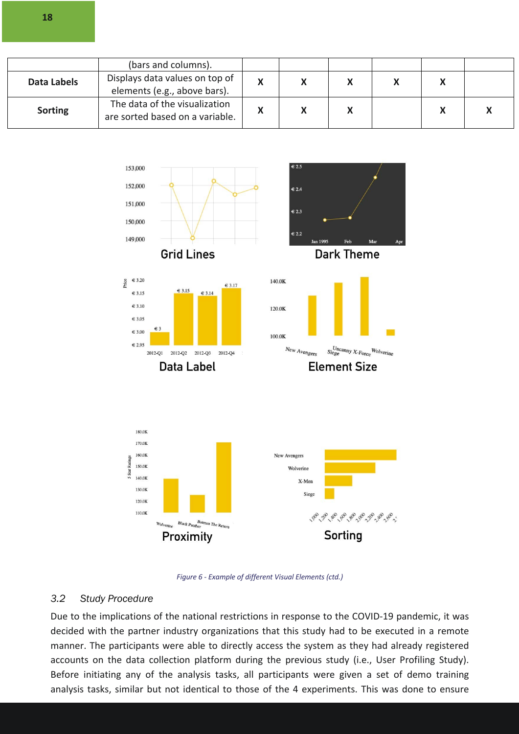|                    | (bars and columns).                                              |   |  |  |  |
|--------------------|------------------------------------------------------------------|---|--|--|--|
| <b>Data Labels</b> | Displays data values on top of<br>elements (e.g., above bars).   | v |  |  |  |
| <b>Sorting</b>     | The data of the visualization<br>are sorted based on a variable. |   |  |  |  |





#### *3.2 Study Procedure*

Due to the implications of the national restrictions in response to the COVID-19 pandemic, it was decided with the partner industry organizations that this study had to be executed in a remote manner. The participants were able to directly access the system as they had already registered accounts on the data collection platform during the previous study (i.e., User Profiling Study). Before initiating any of the analysis tasks, all participants were given a set of demo training analysis tasks, similar but not identical to those of the 4 experiments. This was done to ensure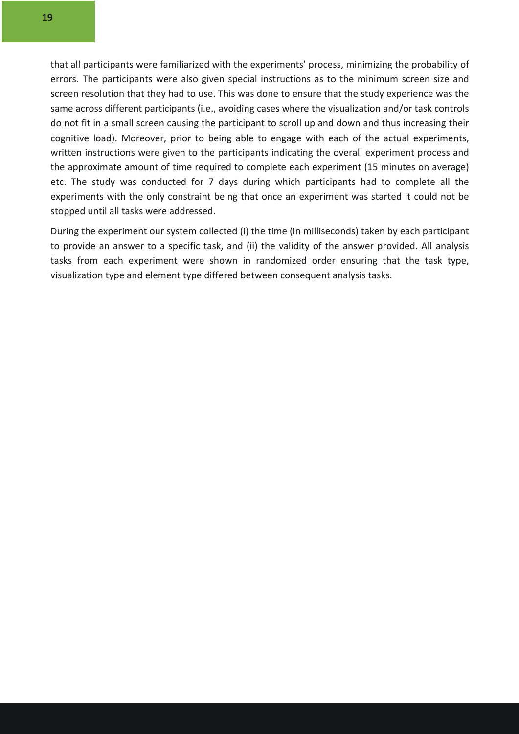that all participants were familiarized with the experiments' process, minimizing the probability of errors. The participants were also given special instructions as to the minimum screen size and screen resolution that they had to use. This was done to ensure that the study experience was the same across different participants (i.e., avoiding cases where the visualization and/or task controls do not fit in a small screen causing the participant to scroll up and down and thus increasing their cognitive load). Moreover, prior to being able to engage with each of the actual experiments, written instructions were given to the participants indicating the overall experiment process and the approximate amount of time required to complete each experiment (15 minutes on average) etc. The study was conducted for 7 days during which participants had to complete all the experiments with the only constraint being that once an experiment was started it could not be stopped until all tasks were addressed.

During the experiment our system collected (i) the time (in milliseconds) taken by each participant to provide an answer to a specific task, and (ii) the validity of the answer provided. All analysis tasks from each experiment were shown in randomized order ensuring that the task type, visualization type and element type differed between consequent analysis tasks.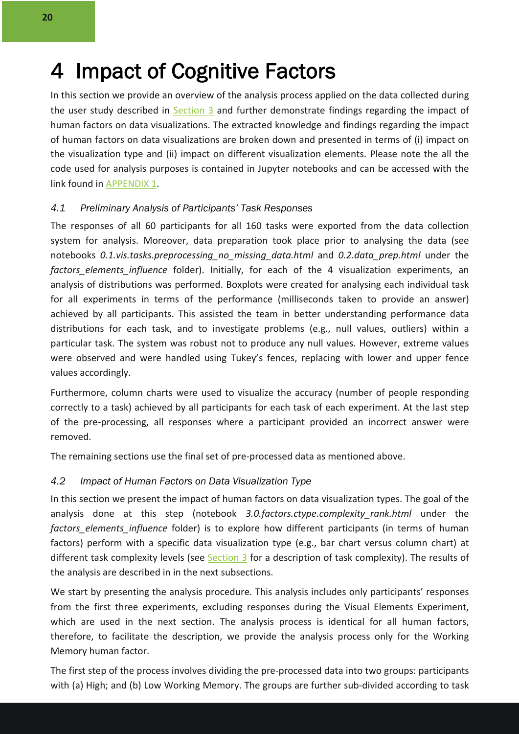### 4 Impact of Cognitive Factors

In this section we provide an overview of the analysis process applied on the data collected during the user study described in Section 3 and further demonstrate findings regarding the impact of human factors on data visualizations. The extracted knowledge and findings regarding the impact of human factors on data visualizations are broken down and presented in terms of (i) impact on the visualization type and (ii) impact on different visualization elements. Please note the all the code used for analysis purposes is contained in Jupyter notebooks and can be accessed with the link found in APPENDIX 1.

#### *4.1 Preliminary Analysis of Participants' Task Responses*

The responses of all 60 participants for all 160 tasks were exported from the data collection system for analysis. Moreover, data preparation took place prior to analysing the data (see notebooks *0.1.vis.tasks.preprocessing\_no\_missing\_data.html* and *0.2.data\_prep.html* under the *factors elements influence* folder). Initially, for each of the 4 visualization experiments, an analysis of distributions was performed. Boxplots were created for analysing each individual task for all experiments in terms of the performance (milliseconds taken to provide an answer) achieved by all participants. This assisted the team in better understanding performance data distributions for each task, and to investigate problems (e.g., null values, outliers) within a particular task. The system was robust not to produce any null values. However, extreme values were observed and were handled using Tukey's fences, replacing with lower and upper fence values accordingly.

Furthermore, column charts were used to visualize the accuracy (number of people responding correctly to a task) achieved by all participants for each task of each experiment. At the last step of the pre-processing, all responses where a participant provided an incorrect answer were removed.

The remaining sections use the final set of pre-processed data as mentioned above.

#### *4.2 Impact of Human Factors on Data Visualization Type*

In this section we present the impact of human factors on data visualization types. The goal of the analysis done at this step (notebook *3.0.factors.ctype.complexity\_rank.html* under the *factors elements influence folder*) is to explore how different participants (in terms of human factors) perform with a specific data visualization type (e.g., bar chart versus column chart) at different task complexity levels (see Section 3 for a description of task complexity). The results of the analysis are described in in the next subsections.

We start by presenting the analysis procedure. This analysis includes only participants' responses from the first three experiments, excluding responses during the Visual Elements Experiment, which are used in the next section. The analysis process is identical for all human factors, therefore, to facilitate the description, we provide the analysis process only for the Working Memory human factor.

The first step of the process involves dividing the pre-processed data into two groups: participants with (a) High; and (b) Low Working Memory. The groups are further sub-divided according to task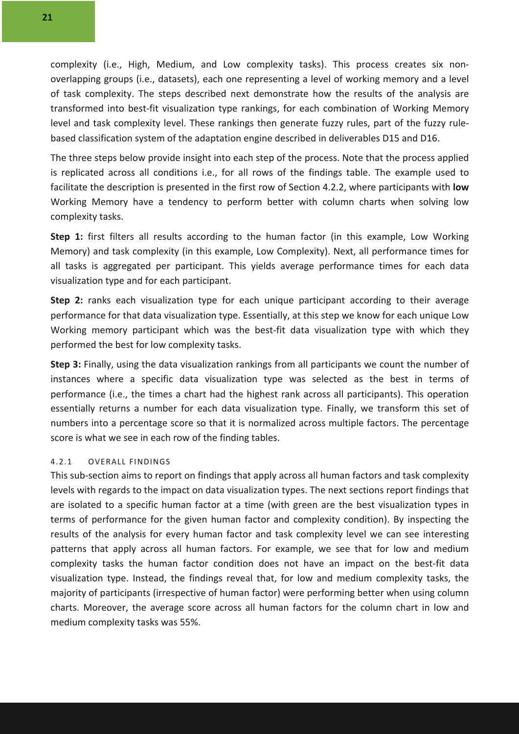complexity (i.e., High, Medium, and Low complexity tasks). This process creates six nonoverlapping groups (i.e., datasets), each one representing a level of working memory and a level of task complexity. The steps described next demonstrate how the results of the analysis are transformed into best-fit visualization type rankings, for each combination of Working Memory level and task complexity level. These rankings then generate fuzzy rules, part of the fuzzy rulebased classification system of the adaptation engine described in deliverables D15 and D16.

The three steps below provide insight into each step of the process. Note that the process applied is replicated across all conditions i.e., for all rows of the findings table. The example used to facilitate the description is presented in the first row of Section 4.2.2, where participants with **low** Working Memory have a tendency to perform better with column charts when solving low complexity tasks.

**Step 1:** first filters all results according to the human factor (in this example, Low Working Memory) and task complexity (in this example, Low Complexity). Next, all performance times for all tasks is aggregated per participant. This yields average performance times for each data visualization type and for each participant.

**Step 2:** ranks each visualization type for each unique participant according to their average performance for that data visualization type. Essentially, at this step we know for each unique Low Working memory participant which was the best-fit data visualization type with which they performed the best for low complexity tasks.

**Step 3:** Finally, using the data visualization rankings from all participants we count the number of instances where a specific data visualization type was selected as the best in terms of performance (i.e., the times a chart had the highest rank across all participants). This operation essentially returns a number for each data visualization type. Finally, we transform this set of numbers into a percentage score so that it is normalized across multiple factors. The percentage score is what we see in each row of the finding tables.

#### 4.2.1 OVERALL FINDINGS

This sub-section aims to report on findings that apply across all human factors and task complexity levels with regards to the impact on data visualization types. The next sections report findings that are isolated to a specific human factor at a time (with green are the best visualization types in terms of performance for the given human factor and complexity condition). By inspecting the results of the analysis for every human factor and task complexity level we can see interesting patterns that apply across all human factors. For example, we see that for low and medium complexity tasks the human factor condition does not have an impact on the best-fit data visualization type. Instead, the findings reveal that, for low and medium complexity tasks, the majority of participants (irrespective of human factor) were performing better when using column charts. Moreover, the average score across all human factors for the column chart in low and medium complexity tasks was 55%.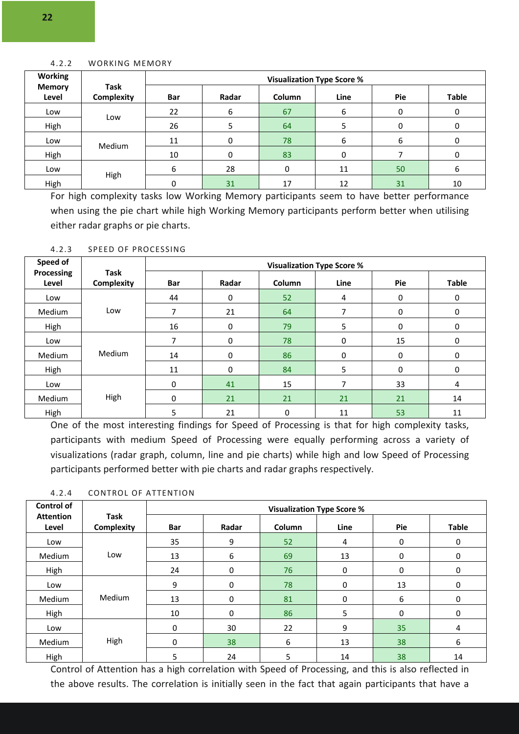| <b>Working</b>         |                           | <b>Visualization Type Score %</b> |       |               |             |     |              |  |  |
|------------------------|---------------------------|-----------------------------------|-------|---------------|-------------|-----|--------------|--|--|
| <b>Memory</b><br>Level | <b>Task</b><br>Complexity | Bar                               | Radar | <b>Column</b> | <b>Line</b> | Pie | <b>Table</b> |  |  |
| Low                    |                           | 22                                | 6     | 67            | 6           |     | 0            |  |  |
| High                   | Low                       | 26                                |       | 64            |             | 0   | 0            |  |  |
| Low                    |                           | 11                                | 0     | 78            | 6           | 6   | 0            |  |  |
| High                   | Medium                    | 10                                |       | 83            | 0           |     | 0            |  |  |
| Low                    |                           | 6                                 | 28    | 0             | 11          | 50  | ь            |  |  |
| High                   | High                      | O                                 | 31    | 17            | 12          | 31  | 10           |  |  |

For high complexity tasks low Working Memory participants seem to have better performance when using the pie chart while high Working Memory participants perform better when utilising either radar graphs or pie charts.

| Speed of            |                           | <b>Visualization Type Score %</b> |              |        |      |              |              |  |  |
|---------------------|---------------------------|-----------------------------------|--------------|--------|------|--------------|--------------|--|--|
| Processing<br>Level | <b>Task</b><br>Complexity | <b>Bar</b>                        | Radar        | Column | Line | Pie          | <b>Table</b> |  |  |
| Low                 |                           | 44                                | $\mathbf{0}$ | 52     | 4    | 0            | 0            |  |  |
| Medium              | Low                       | 7                                 | 21           | 64     |      | 0            | 0            |  |  |
| High                |                           | 16                                | 0            | 79     | 5    | $\mathbf{0}$ | 0            |  |  |
| Low                 |                           | 7                                 | 0            | 78     | 0    | 15           | 0            |  |  |
| Medium              | Medium                    | 14                                | 0            | 86     | 0    | 0            | 0            |  |  |
| High                |                           | 11                                | 0            | 84     | 5    | 0            | 0            |  |  |
| Low                 |                           | 0                                 | 41           | 15     | 7    | 33           | 4            |  |  |
| Medium              | High                      | $\mathbf 0$                       | 21           | 21     | 21   | 21           | 14           |  |  |
| High                |                           | 5                                 | 21           | 0      | 11   | 53           | 11           |  |  |

4.2.3 SPEED OF PROCESSING

One of the most interesting findings for Speed of Processing is that for high complexity tasks, participants with medium Speed of Processing were equally performing across a variety of visualizations (radar graph, column, line and pie charts) while high and low Speed of Processing participants performed better with pie charts and radar graphs respectively.

4.2.4 CONTROL OF ATTENTION

| <b>Control of</b>         |                           | <b>Visualization Type Score %</b> |       |        |      |              |              |  |  |
|---------------------------|---------------------------|-----------------------------------|-------|--------|------|--------------|--------------|--|--|
| <b>Attention</b><br>Level | <b>Task</b><br>Complexity | Bar                               | Radar | Column | Line | Pie          | <b>Table</b> |  |  |
| Low                       |                           | 35                                | 9     | 52     | 4    | 0            | 0            |  |  |
| Medium                    | Low                       | 13                                | 6     | 69     | 13   | 0            | 0            |  |  |
| High                      |                           | 24                                | 0     | 76     | 0    | 0            | 0            |  |  |
| Low                       |                           | 9                                 | 0     | 78     | 0    | 13           | 0            |  |  |
| Medium                    | Medium                    | 13                                | 0     | 81     | 0    | 6            | 0            |  |  |
| High                      |                           | 10                                | 0     | 86     | 5    | $\mathbf{0}$ | 0            |  |  |
| Low                       |                           | $\mathbf 0$                       | 30    | 22     | 9    | 35           | 4            |  |  |
| Medium                    | High                      | 0                                 | 38    | 6      | 13   | 38           | 6            |  |  |
| High                      |                           | 5                                 | 24    | 5      | 14   | 38           | 14           |  |  |

Control of Attention has a high correlation with Speed of Processing, and this is also reflected in the above results. The correlation is initially seen in the fact that again participants that have a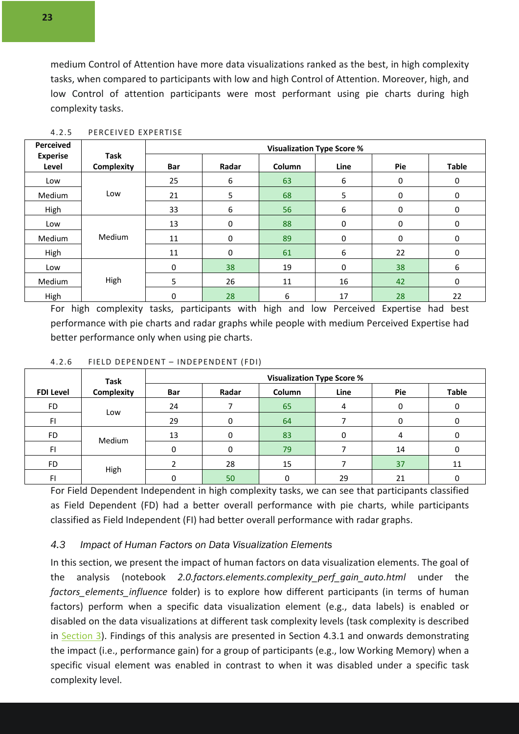medium Control of Attention have more data visualizations ranked as the best, in high complexity tasks, when compared to participants with low and high Control of Attention. Moreover, high, and low Control of attention participants were most performant using pie charts during high complexity tasks.

| Perceived                |                           | <b>Visualization Type Score %</b> |             |               |      |     |              |  |  |
|--------------------------|---------------------------|-----------------------------------|-------------|---------------|------|-----|--------------|--|--|
| <b>Experise</b><br>Level | <b>Task</b><br>Complexity | <b>Bar</b>                        | Radar       | <b>Column</b> | Line | Pie | <b>Table</b> |  |  |
| Low                      |                           | 25                                | 6           | 63            | 6    | 0   | 0            |  |  |
| Medium                   | Low                       | 21                                | 5           | 68            | 5    | 0   | 0            |  |  |
| High                     |                           | 33                                | 6           | 56            | 6    | 0   | 0            |  |  |
| Low                      |                           | 13                                | $\mathbf 0$ | 88            | 0    | 0   | 0            |  |  |
| Medium                   | Medium                    | 11                                | 0           | 89            | 0    | 0   | 0            |  |  |
| High                     |                           | 11                                | 0           | 61            | 6    | 22  | 0            |  |  |
| Low                      |                           | 0                                 | 38          | 19            | 0    | 38  | 6            |  |  |
| Medium                   | High                      | 5                                 | 26          | 11            | 16   | 42  | 0            |  |  |
| High                     |                           | 0                                 | 28          | 6             | 17   | 28  | 22           |  |  |

#### 4.2.5 PERCEIVED EXPERTISE

For high complexity tasks, participants with high and low Perceived Expertise had best performance with pie charts and radar graphs while people with medium Perceived Expertise had better performance only when using pie charts.

|                  | Task       |     | <b>Visualization Type Score %</b> |        |      |     |              |  |  |
|------------------|------------|-----|-----------------------------------|--------|------|-----|--------------|--|--|
| <b>FDI Level</b> | Complexity | Bar | Radar                             | Column | Line | Pie | <b>Table</b> |  |  |
| FD.              |            | 24  |                                   | 65     |      | Ω   |              |  |  |
| FI               | Low        | 29  |                                   | 64     |      |     |              |  |  |
| FD.              | Medium     | 13  |                                   | 83     | 0    |     |              |  |  |
| FI.              |            |     |                                   | 79     |      | 14  |              |  |  |
| FD               |            |     | 28                                | 15     |      | 37  | 11           |  |  |
| FI               | High       |     | 50                                | 0      | 29   | 21  |              |  |  |

#### 4.2.6 FIELD DEPENDENT – INDEPENDENT (FDI)

For Field Dependent Independent in high complexity tasks, we can see that participants classified as Field Dependent (FD) had a better overall performance with pie charts, while participants classified as Field Independent (FI) had better overall performance with radar graphs.

#### *4.3 Impact of Human Factors on Data Visualization Elements*

In this section, we present the impact of human factors on data visualization elements. The goal of the analysis (notebook *2.0.factors.elements.complexity\_perf\_gain\_auto.html* under the *factors elements influence* folder) is to explore how different participants (in terms of human factors) perform when a specific data visualization element (e.g., data labels) is enabled or disabled on the data visualizations at different task complexity levels (task complexity is described in Section 3). Findings of this analysis are presented in Section 4.3.1 and onwards demonstrating the impact (i.e., performance gain) for a group of participants (e.g., low Working Memory) when a specific visual element was enabled in contrast to when it was disabled under a specific task complexity level.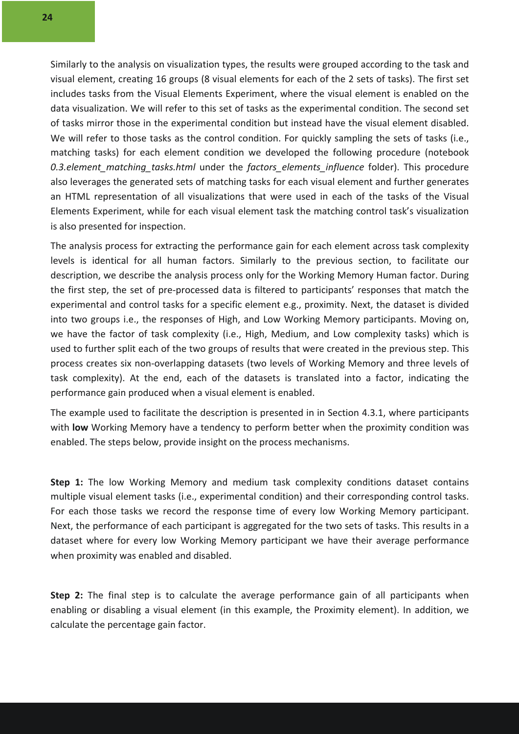Similarly to the analysis on visualization types, the results were grouped according to the task and visual element, creating 16 groups (8 visual elements for each of the 2 sets of tasks). The first set includes tasks from the Visual Elements Experiment, where the visual element is enabled on the data visualization. We will refer to this set of tasks as the experimental condition. The second set of tasks mirror those in the experimental condition but instead have the visual element disabled. We will refer to those tasks as the control condition. For quickly sampling the sets of tasks (i.e., matching tasks) for each element condition we developed the following procedure (notebook *0.3.element\_matching\_tasks.html* under the *factors\_elements\_influence* folder). This procedure also leverages the generated sets of matching tasks for each visual element and further generates an HTML representation of all visualizations that were used in each of the tasks of the Visual Elements Experiment, while for each visual element task the matching control task's visualization is also presented for inspection.

The analysis process for extracting the performance gain for each element across task complexity levels is identical for all human factors. Similarly to the previous section, to facilitate our description, we describe the analysis process only for the Working Memory Human factor. During the first step, the set of pre-processed data is filtered to participants' responses that match the experimental and control tasks for a specific element e.g., proximity. Next, the dataset is divided into two groups i.e., the responses of High, and Low Working Memory participants. Moving on, we have the factor of task complexity (i.e., High, Medium, and Low complexity tasks) which is used to further split each of the two groups of results that were created in the previous step. This process creates six non-overlapping datasets (two levels of Working Memory and three levels of task complexity). At the end, each of the datasets is translated into a factor, indicating the performance gain produced when a visual element is enabled.

The example used to facilitate the description is presented in in Section 4.3.1, where participants with **low** Working Memory have a tendency to perform better when the proximity condition was enabled. The steps below, provide insight on the process mechanisms.

**Step 1:** The low Working Memory and medium task complexity conditions dataset contains multiple visual element tasks (i.e., experimental condition) and their corresponding control tasks. For each those tasks we record the response time of every low Working Memory participant. Next, the performance of each participant is aggregated for the two sets of tasks. This results in a dataset where for every low Working Memory participant we have their average performance when proximity was enabled and disabled.

**Step 2:** The final step is to calculate the average performance gain of all participants when enabling or disabling a visual element (in this example, the Proximity element). In addition, we calculate the percentage gain factor.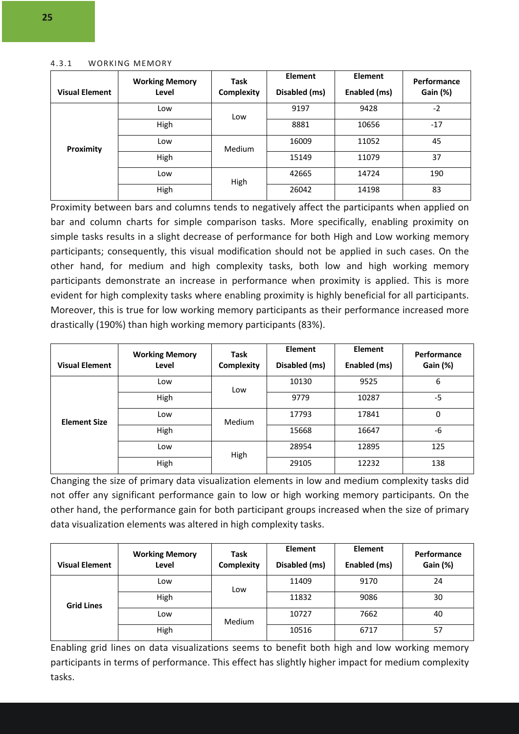#### 4.3.1 WORKING MEMORY

| <b>Visual Element</b> | <b>Working Memory</b><br>Level | Task<br>Complexity | <b>Element</b><br>Disabled (ms) | Element<br>Enabled (ms) | Performance<br>Gain (%) |
|-----------------------|--------------------------------|--------------------|---------------------------------|-------------------------|-------------------------|
|                       | Low                            | Low                | 9197                            | 9428                    | $-2$                    |
|                       | High                           |                    | 8881                            | 10656                   | $-17$                   |
| Proximity             | Low                            | Medium             | 16009                           | 11052                   | 45                      |
|                       | High                           |                    | 15149                           | 11079                   | 37                      |
|                       | Low                            | High               | 42665                           | 14724                   | 190                     |
|                       | High                           |                    | 26042                           | 14198                   | 83                      |

Proximity between bars and columns tends to negatively affect the participants when applied on bar and column charts for simple comparison tasks. More specifically, enabling proximity on simple tasks results in a slight decrease of performance for both High and Low working memory participants; consequently, this visual modification should not be applied in such cases. On the other hand, for medium and high complexity tasks, both low and high working memory participants demonstrate an increase in performance when proximity is applied. This is more evident for high complexity tasks where enabling proximity is highly beneficial for all participants. Moreover, this is true for low working memory participants as their performance increased more drastically (190%) than high working memory participants (83%).

| <b>Visual Element</b> | <b>Working Memory</b><br>Level | Task<br>Complexity | <b>Element</b><br>Disabled (ms) | <b>Element</b><br>Enabled (ms) | Performance<br>Gain (%) |
|-----------------------|--------------------------------|--------------------|---------------------------------|--------------------------------|-------------------------|
| <b>Element Size</b>   | Low                            | Low                | 10130                           | 9525                           | 6                       |
|                       | High                           |                    | 9779                            | 10287                          | -5                      |
|                       | Low                            | Medium             | 17793                           | 17841                          | 0                       |
|                       | High                           |                    | 15668                           | 16647                          | -6                      |
|                       | Low                            | High               | 28954                           | 12895                          | 125                     |
|                       | High                           |                    | 29105                           | 12232                          | 138                     |

Changing the size of primary data visualization elements in low and medium complexity tasks did not offer any significant performance gain to low or high working memory participants. On the other hand, the performance gain for both participant groups increased when the size of primary data visualization elements was altered in high complexity tasks.

| <b>Visual Element</b> | <b>Working Memory</b><br>Level | Task<br>Complexity | <b>Element</b><br>Disabled (ms) | <b>Element</b><br>Enabled (ms) | Performance<br>Gain (%) |
|-----------------------|--------------------------------|--------------------|---------------------------------|--------------------------------|-------------------------|
| <b>Grid Lines</b>     | Low                            | Low                | 11409                           | 9170                           | 24                      |
|                       | High                           |                    | 11832                           | 9086                           | 30                      |
|                       | Low                            | Medium             | 10727                           | 7662                           | 40                      |
|                       | High                           |                    | 10516                           | 6717                           | 57                      |

Enabling grid lines on data visualizations seems to benefit both high and low working memory participants in terms of performance. This effect has slightly higher impact for medium complexity tasks.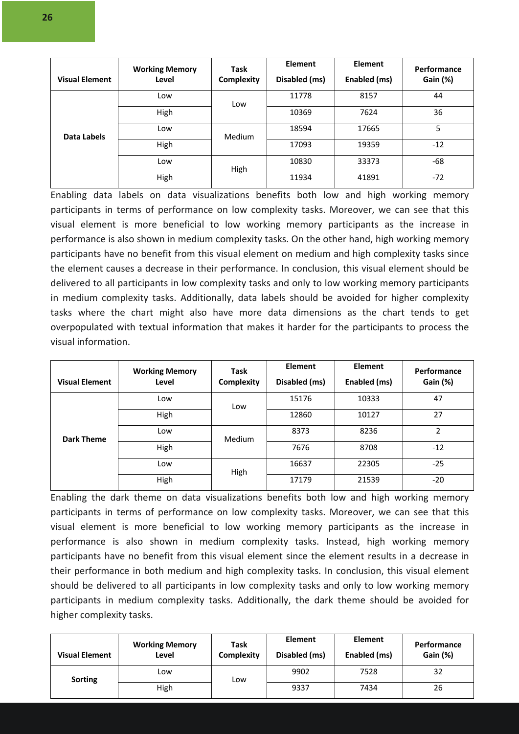| <b>Visual Element</b> | <b>Working Memory</b><br>Level | Task<br>Complexity | <b>Element</b><br>Disabled (ms) | Element<br>Enabled (ms) | Performance<br>Gain (%) |
|-----------------------|--------------------------------|--------------------|---------------------------------|-------------------------|-------------------------|
| Data Labels           | Low                            | Low                | 11778                           | 8157                    | 44                      |
|                       | High                           |                    | 10369                           | 7624                    | 36                      |
|                       | Low                            | Medium             | 18594                           | 17665                   | 5                       |
|                       | High                           |                    | 17093                           | 19359                   | $-12$                   |
|                       | Low                            | High               | 10830                           | 33373                   | -68                     |
|                       | High                           |                    | 11934                           | 41891                   | $-72$                   |

Enabling data labels on data visualizations benefits both low and high working memory participants in terms of performance on low complexity tasks. Moreover, we can see that this visual element is more beneficial to low working memory participants as the increase in performance is also shown in medium complexity tasks. On the other hand, high working memory participants have no benefit from this visual element on medium and high complexity tasks since the element causes a decrease in their performance. In conclusion, this visual element should be delivered to all participants in low complexity tasks and only to low working memory participants in medium complexity tasks. Additionally, data labels should be avoided for higher complexity tasks where the chart might also have more data dimensions as the chart tends to get overpopulated with textual information that makes it harder for the participants to process the visual information.

| <b>Visual Element</b> | <b>Working Memory</b><br>Level | Task<br>Complexity | <b>Element</b><br>Disabled (ms) | <b>Element</b><br>Enabled (ms) | Performance<br><b>Gain (%)</b> |
|-----------------------|--------------------------------|--------------------|---------------------------------|--------------------------------|--------------------------------|
| <b>Dark Theme</b>     | Low                            | Low                | 15176                           | 10333                          | 47                             |
|                       | High                           |                    | 12860                           | 10127                          | 27                             |
|                       | Low                            | Medium             | 8373                            | 8236                           | 2                              |
|                       | High                           |                    | 7676                            | 8708                           | $-12$                          |
|                       | Low                            | High               | 16637                           | 22305                          | $-25$                          |
|                       | High                           |                    | 17179                           | 21539                          | $-20$                          |

Enabling the dark theme on data visualizations benefits both low and high working memory participants in terms of performance on low complexity tasks. Moreover, we can see that this visual element is more beneficial to low working memory participants as the increase in performance is also shown in medium complexity tasks. Instead, high working memory participants have no benefit from this visual element since the element results in a decrease in their performance in both medium and high complexity tasks. In conclusion, this visual element should be delivered to all participants in low complexity tasks and only to low working memory participants in medium complexity tasks. Additionally, the dark theme should be avoided for higher complexity tasks.

| <b>Visual Element</b> | <b>Working Memory</b><br>Level | <b>Task</b><br>Complexity | Element<br>Disabled (ms) | Element<br>Enabled (ms) | <b>Performance</b><br><b>Gain (%)</b> |
|-----------------------|--------------------------------|---------------------------|--------------------------|-------------------------|---------------------------------------|
| <b>Sorting</b>        | Low                            | Low                       | 9902                     | 7528                    | 32                                    |
|                       | High                           |                           | 9337                     | 7434                    | 26                                    |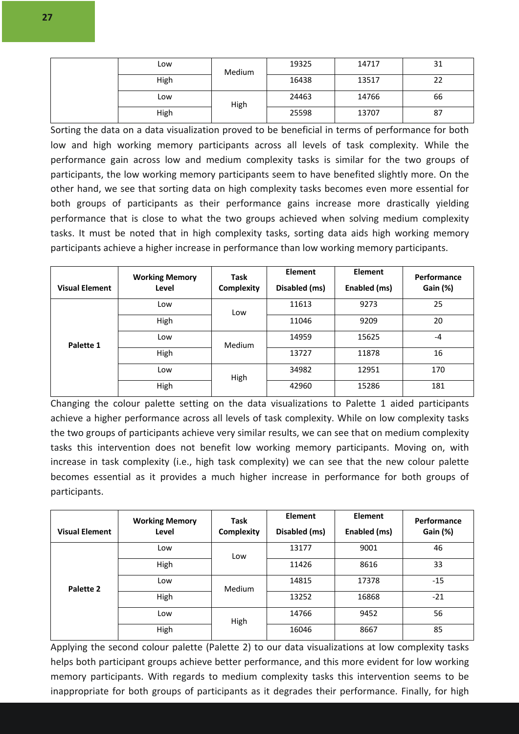| Low  | Medium | 19325 | 14717 | 31 |
|------|--------|-------|-------|----|
| High |        | 16438 | 13517 | 22 |
| Low  | High   | 24463 | 14766 | 66 |
| High |        | 25598 | 13707 | 87 |

Sorting the data on a data visualization proved to be beneficial in terms of performance for both low and high working memory participants across all levels of task complexity. While the performance gain across low and medium complexity tasks is similar for the two groups of participants, the low working memory participants seem to have benefited slightly more. On the other hand, we see that sorting data on high complexity tasks becomes even more essential for both groups of participants as their performance gains increase more drastically yielding performance that is close to what the two groups achieved when solving medium complexity tasks. It must be noted that in high complexity tasks, sorting data aids high working memory participants achieve a higher increase in performance than low working memory participants.

| <b>Visual Element</b> | <b>Working Memory</b><br>Level | <b>Task</b><br>Complexity | <b>Element</b><br>Disabled (ms) | <b>Element</b><br>Enabled (ms) | Performance<br>Gain (%) |
|-----------------------|--------------------------------|---------------------------|---------------------------------|--------------------------------|-------------------------|
|                       | Low                            | Low                       | 11613                           | 9273                           | 25                      |
|                       | High                           |                           | 11046                           | 9209                           | 20                      |
| Palette 1             | Low                            | Medium                    | 14959                           | 15625                          | $-4$                    |
|                       | High                           |                           | 13727                           | 11878                          | 16                      |
|                       | Low                            | High                      | 34982                           | 12951                          | 170                     |
|                       | High                           |                           | 42960                           | 15286                          | 181                     |

Changing the colour palette setting on the data visualizations to Palette 1 aided participants achieve a higher performance across all levels of task complexity. While on low complexity tasks the two groups of participants achieve very similar results, we can see that on medium complexity tasks this intervention does not benefit low working memory participants. Moving on, with increase in task complexity (i.e., high task complexity) we can see that the new colour palette becomes essential as it provides a much higher increase in performance for both groups of participants.

| <b>Visual Element</b> | <b>Working Memory</b><br>Level | <b>Task</b><br>Complexity | <b>Element</b><br>Disabled (ms) | <b>Element</b><br>Enabled (ms) | Performance<br>Gain (%) |
|-----------------------|--------------------------------|---------------------------|---------------------------------|--------------------------------|-------------------------|
|                       | Low                            | Low                       | 13177                           | 9001                           | 46                      |
|                       | High                           |                           | 11426                           | 8616                           | 33                      |
| Palette 2             | Low                            | Medium                    | 14815                           | 17378                          | $-15$                   |
|                       | High                           |                           | 13252                           | 16868                          | $-21$                   |
|                       | Low                            | High                      | 14766                           | 9452                           | 56                      |
|                       | High                           |                           | 16046                           | 8667                           | 85                      |

Applying the second colour palette (Palette 2) to our data visualizations at low complexity tasks helps both participant groups achieve better performance, and this more evident for low working memory participants. With regards to medium complexity tasks this intervention seems to be inappropriate for both groups of participants as it degrades their performance. Finally, for high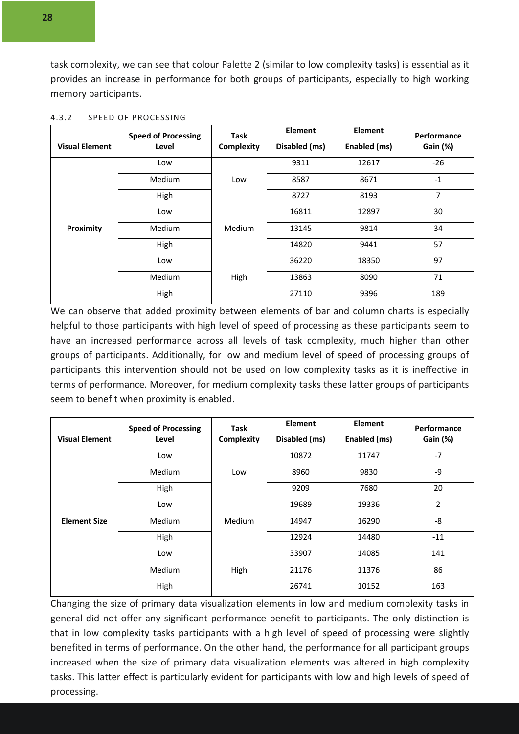task complexity, we can see that colour Palette 2 (similar to low complexity tasks) is essential as it provides an increase in performance for both groups of participants, especially to high working memory participants.

| <b>Visual Element</b> | <b>Speed of Processing</b><br>Level | <b>Task</b><br>Complexity | Element<br>Disabled (ms) | <b>Element</b><br>Enabled (ms) | Performance<br>Gain (%) |
|-----------------------|-------------------------------------|---------------------------|--------------------------|--------------------------------|-------------------------|
|                       | Low                                 |                           | 9311                     | 12617                          | $-26$                   |
|                       | Medium                              | Low                       | 8587                     | 8671                           | $-1$                    |
|                       | High                                |                           | 8727                     | 8193                           | 7                       |
|                       | Low                                 | Medium                    | 16811                    | 12897                          | 30                      |
| Proximity             | Medium                              |                           | 13145                    | 9814                           | 34                      |
|                       | High                                |                           | 14820                    | 9441                           | 57                      |
|                       | Low                                 | High                      | 36220                    | 18350                          | 97                      |
|                       | Medium                              |                           | 13863                    | 8090                           | 71                      |
|                       | High                                |                           | 27110                    | 9396                           | 189                     |

#### 4.3.2 SPEED OF PROCESSING

We can observe that added proximity between elements of bar and column charts is especially helpful to those participants with high level of speed of processing as these participants seem to have an increased performance across all levels of task complexity, much higher than other groups of participants. Additionally, for low and medium level of speed of processing groups of participants this intervention should not be used on low complexity tasks as it is ineffective in terms of performance. Moreover, for medium complexity tasks these latter groups of participants seem to benefit when proximity is enabled.

| <b>Visual Element</b> | <b>Speed of Processing</b><br>Level | <b>Task</b><br>Complexity | <b>Element</b><br>Disabled (ms) | <b>Element</b><br>Enabled (ms) | Performance<br>Gain (%) |
|-----------------------|-------------------------------------|---------------------------|---------------------------------|--------------------------------|-------------------------|
|                       | Low                                 |                           | 10872                           | 11747                          | $-7$                    |
|                       | Medium                              | Low                       | 8960                            | 9830                           | -9                      |
|                       | High                                |                           | 9209                            | 7680                           | 20                      |
|                       | Low                                 | Medium                    | 19689                           | 19336                          | $\overline{2}$          |
| <b>Element Size</b>   | Medium                              |                           | 14947                           | 16290                          | -8                      |
|                       | High                                |                           | 12924                           | 14480                          | $-11$                   |
|                       | Low                                 |                           | 33907                           | 14085                          | 141                     |
|                       | Medium                              | High                      | 21176                           | 11376                          | 86                      |
|                       | High                                |                           | 26741                           | 10152                          | 163                     |

Changing the size of primary data visualization elements in low and medium complexity tasks in general did not offer any significant performance benefit to participants. The only distinction is that in low complexity tasks participants with a high level of speed of processing were slightly benefited in terms of performance. On the other hand, the performance for all participant groups increased when the size of primary data visualization elements was altered in high complexity tasks. This latter effect is particularly evident for participants with low and high levels of speed of processing.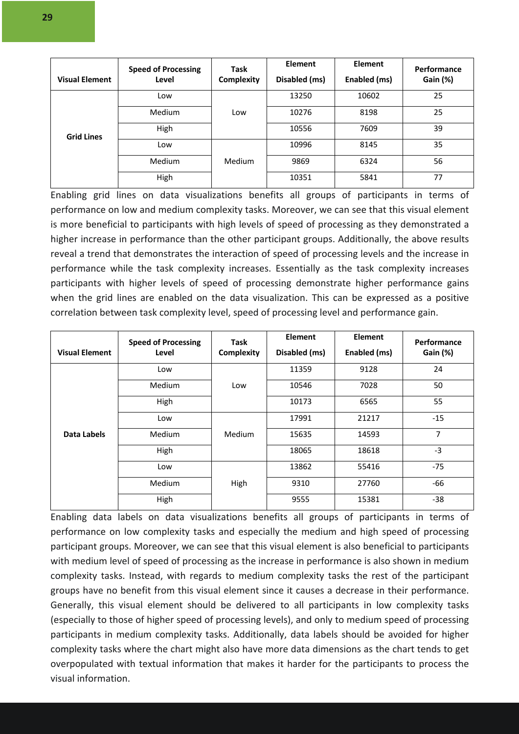| <b>Visual Element</b> | <b>Speed of Processing</b><br>Level | Task<br>Complexity | <b>Element</b><br>Disabled (ms) | Element<br>Enabled (ms) | Performance<br>Gain (%) |
|-----------------------|-------------------------------------|--------------------|---------------------------------|-------------------------|-------------------------|
| <b>Grid Lines</b>     | Low                                 |                    | 13250                           | 10602                   | 25                      |
|                       | <b>Medium</b>                       | Low                | 10276                           | 8198                    | 25                      |
|                       | High                                |                    | 10556                           | 7609                    | 39                      |
|                       | Low                                 |                    | 10996                           | 8145                    | 35                      |
|                       | <b>Medium</b>                       | Medium             | 9869                            | 6324                    | 56                      |
|                       | High                                |                    | 10351                           | 5841                    | 77                      |

Enabling grid lines on data visualizations benefits all groups of participants in terms of performance on low and medium complexity tasks. Moreover, we can see that this visual element is more beneficial to participants with high levels of speed of processing as they demonstrated a higher increase in performance than the other participant groups. Additionally, the above results reveal a trend that demonstrates the interaction of speed of processing levels and the increase in performance while the task complexity increases. Essentially as the task complexity increases participants with higher levels of speed of processing demonstrate higher performance gains when the grid lines are enabled on the data visualization. This can be expressed as a positive correlation between task complexity level, speed of processing level and performance gain.

| <b>Visual Element</b> | <b>Speed of Processing</b><br>Level | Task<br>Complexity | <b>Element</b><br>Disabled (ms) | <b>Element</b><br>Enabled (ms) | Performance<br><b>Gain (%)</b> |
|-----------------------|-------------------------------------|--------------------|---------------------------------|--------------------------------|--------------------------------|
|                       | Low                                 |                    | 11359                           | 9128                           | 24                             |
|                       | Medium                              | Low                | 10546                           | 7028                           | 50                             |
|                       | High                                |                    | 10173                           | 6565                           | 55                             |
|                       | Low                                 | Medium             | 17991                           | 21217                          | $-15$                          |
| Data Labels           | Medium                              |                    | 15635                           | 14593                          | 7                              |
|                       | High                                |                    | 18065                           | 18618                          | $-3$                           |
|                       | Low                                 | High               | 13862                           | 55416                          | $-75$                          |
|                       | Medium                              |                    | 9310                            | 27760                          | $-66$                          |
|                       | High                                |                    | 9555                            | 15381                          | $-38$                          |

Enabling data labels on data visualizations benefits all groups of participants in terms of performance on low complexity tasks and especially the medium and high speed of processing participant groups. Moreover, we can see that this visual element is also beneficial to participants with medium level of speed of processing as the increase in performance is also shown in medium complexity tasks. Instead, with regards to medium complexity tasks the rest of the participant groups have no benefit from this visual element since it causes a decrease in their performance. Generally, this visual element should be delivered to all participants in low complexity tasks (especially to those of higher speed of processing levels), and only to medium speed of processing participants in medium complexity tasks. Additionally, data labels should be avoided for higher complexity tasks where the chart might also have more data dimensions as the chart tends to get overpopulated with textual information that makes it harder for the participants to process the visual information.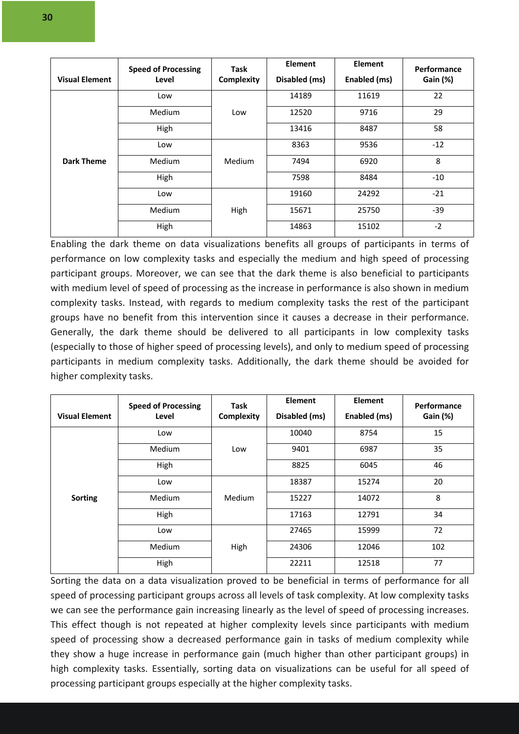| <b>Visual Element</b> | <b>Speed of Processing</b><br>Level | <b>Task</b><br>Complexity | <b>Element</b><br>Disabled (ms) | Element<br>Enabled (ms) | Performance<br>Gain (%) |
|-----------------------|-------------------------------------|---------------------------|---------------------------------|-------------------------|-------------------------|
|                       | Low                                 |                           | 14189                           | 11619                   | 22                      |
|                       | <b>Medium</b>                       | Low                       | 12520                           | 9716                    | 29                      |
|                       | High                                |                           | 13416                           | 8487                    | 58                      |
|                       | Low                                 | Medium                    | 8363                            | 9536                    | $-12$                   |
| Dark Theme            | <b>Medium</b>                       |                           | 7494                            | 6920                    | 8                       |
|                       | High                                |                           | 7598                            | 8484                    | $-10$                   |
|                       | Low                                 |                           | 19160                           | 24292                   | $-21$                   |
|                       | Medium                              | High                      | 15671                           | 25750                   | $-39$                   |
|                       | High                                |                           | 14863                           | 15102                   | $-2$                    |

Enabling the dark theme on data visualizations benefits all groups of participants in terms of performance on low complexity tasks and especially the medium and high speed of processing participant groups. Moreover, we can see that the dark theme is also beneficial to participants with medium level of speed of processing as the increase in performance is also shown in medium complexity tasks. Instead, with regards to medium complexity tasks the rest of the participant groups have no benefit from this intervention since it causes a decrease in their performance. Generally, the dark theme should be delivered to all participants in low complexity tasks (especially to those of higher speed of processing levels), and only to medium speed of processing participants in medium complexity tasks. Additionally, the dark theme should be avoided for higher complexity tasks.

| <b>Visual Element</b> | <b>Speed of Processing</b><br>Level | Task<br><b>Complexity</b> | Element<br>Disabled (ms) | <b>Element</b><br>Enabled (ms) | Performance<br>Gain (%) |
|-----------------------|-------------------------------------|---------------------------|--------------------------|--------------------------------|-------------------------|
|                       | Low                                 |                           | 10040                    | 8754                           | 15                      |
|                       | Medium                              | Low                       | 9401                     | 6987                           | 35                      |
|                       | High                                |                           | 8825                     | 6045                           | 46                      |
|                       | Low                                 | Medium                    | 18387                    | 15274                          | 20                      |
| <b>Sorting</b>        | Medium                              |                           | 15227                    | 14072                          | 8                       |
|                       | High                                |                           | 17163                    | 12791                          | 34                      |
|                       | Low                                 |                           | 27465                    | 15999                          | 72                      |
|                       | Medium                              | High                      | 24306                    | 12046                          | 102                     |
|                       | High                                |                           | 22211                    | 12518                          | 77                      |

Sorting the data on a data visualization proved to be beneficial in terms of performance for all speed of processing participant groups across all levels of task complexity. At low complexity tasks we can see the performance gain increasing linearly as the level of speed of processing increases. This effect though is not repeated at higher complexity levels since participants with medium speed of processing show a decreased performance gain in tasks of medium complexity while they show a huge increase in performance gain (much higher than other participant groups) in high complexity tasks. Essentially, sorting data on visualizations can be useful for all speed of processing participant groups especially at the higher complexity tasks.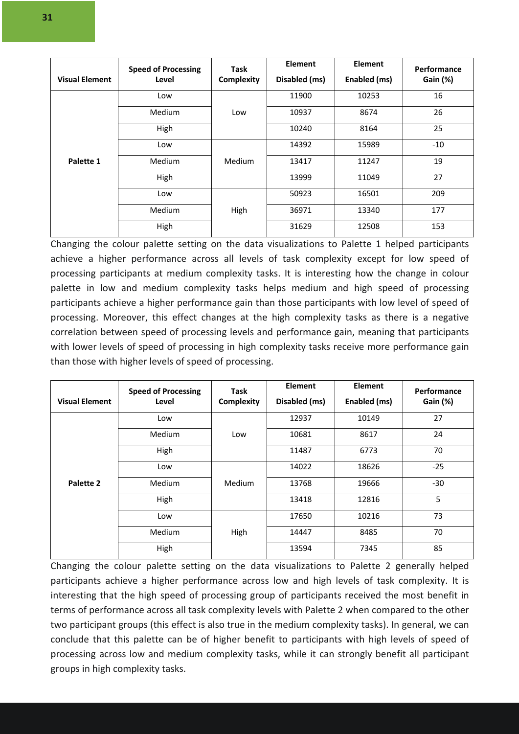| <b>Visual Element</b> | <b>Speed of Processing</b><br>Level | <b>Task</b><br>Complexity | Element<br>Disabled (ms) | Element<br>Enabled (ms) | Performance<br>Gain (%) |
|-----------------------|-------------------------------------|---------------------------|--------------------------|-------------------------|-------------------------|
|                       | Low                                 |                           | 11900                    | 10253                   | 16                      |
|                       | Medium                              | Low                       | 10937                    | 8674                    | 26                      |
|                       | High                                |                           | 10240                    | 8164                    | 25                      |
|                       | Low                                 | Medium                    | 14392                    | 15989                   | $-10$                   |
| Palette 1             | <b>Medium</b>                       |                           | 13417                    | 11247                   | 19                      |
|                       | High                                |                           | 13999                    | 11049                   | 27                      |
|                       | Low                                 |                           | 50923                    | 16501                   | 209                     |
|                       | Medium                              | High                      | 36971                    | 13340                   | 177                     |
|                       | High                                |                           | 31629                    | 12508                   | 153                     |

Changing the colour palette setting on the data visualizations to Palette 1 helped participants achieve a higher performance across all levels of task complexity except for low speed of processing participants at medium complexity tasks. It is interesting how the change in colour palette in low and medium complexity tasks helps medium and high speed of processing participants achieve a higher performance gain than those participants with low level of speed of processing. Moreover, this effect changes at the high complexity tasks as there is a negative correlation between speed of processing levels and performance gain, meaning that participants with lower levels of speed of processing in high complexity tasks receive more performance gain than those with higher levels of speed of processing.

| <b>Visual Element</b> | <b>Speed of Processing</b><br>Level | Task<br>Complexity | <b>Element</b><br>Disabled (ms) | <b>Element</b><br>Enabled (ms) | Performance<br>Gain (%) |
|-----------------------|-------------------------------------|--------------------|---------------------------------|--------------------------------|-------------------------|
|                       | Low                                 |                    | 12937                           | 10149                          | 27                      |
|                       | Medium                              | Low                | 10681                           | 8617                           | 24                      |
|                       | High                                |                    | 11487                           | 6773                           | 70                      |
|                       | Low                                 | Medium             | 14022                           | 18626                          | $-25$                   |
| Palette 2             | Medium                              |                    | 13768                           | 19666                          | $-30$                   |
|                       | High                                |                    | 13418                           | 12816                          | 5                       |
|                       | Low                                 |                    | 17650                           | 10216                          | 73                      |
|                       | Medium                              | High               | 14447                           | 8485                           | 70                      |
|                       | High                                |                    | 13594                           | 7345                           | 85                      |

Changing the colour palette setting on the data visualizations to Palette 2 generally helped participants achieve a higher performance across low and high levels of task complexity. It is interesting that the high speed of processing group of participants received the most benefit in terms of performance across all task complexity levels with Palette 2 when compared to the other two participant groups (this effect is also true in the medium complexity tasks). In general, we can conclude that this palette can be of higher benefit to participants with high levels of speed of processing across low and medium complexity tasks, while it can strongly benefit all participant groups in high complexity tasks.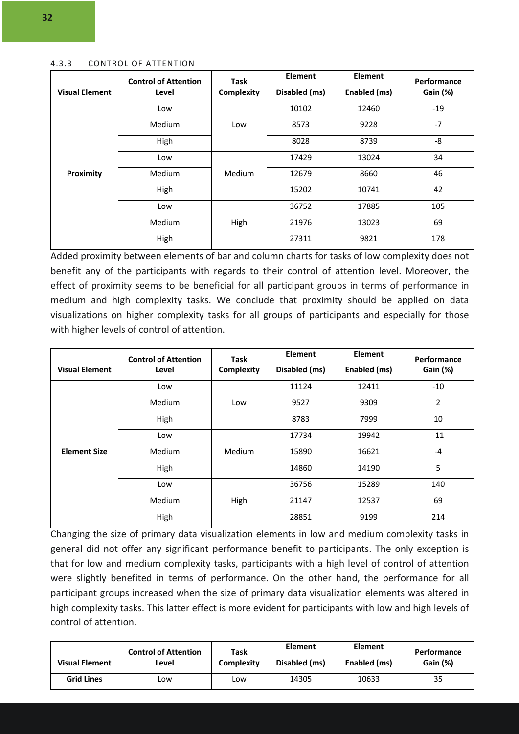#### 4.3.3 CONTROL OF ATTENTION

| <b>Visual Element</b> | <b>Control of Attention</b><br>Level | Task<br>Complexity | <b>Element</b><br>Disabled (ms) | <b>Element</b><br>Enabled (ms) | Performance<br>Gain (%) |
|-----------------------|--------------------------------------|--------------------|---------------------------------|--------------------------------|-------------------------|
|                       | Low                                  |                    | 10102                           | 12460                          | $-19$                   |
|                       | Medium                               | Low                | 8573                            | 9228                           | $-7$                    |
|                       | High                                 |                    | 8028                            | 8739                           | -8                      |
|                       | Low                                  | Medium             | 17429                           | 13024                          | 34                      |
| Proximity             | Medium                               |                    | 12679                           | 8660                           | 46                      |
|                       | High                                 |                    | 15202                           | 10741                          | 42                      |
|                       | Low                                  |                    | 36752                           | 17885                          | 105                     |
|                       | Medium                               | High               | 21976                           | 13023                          | 69                      |
|                       | High                                 |                    | 27311                           | 9821                           | 178                     |

Added proximity between elements of bar and column charts for tasks of low complexity does not benefit any of the participants with regards to their control of attention level. Moreover, the effect of proximity seems to be beneficial for all participant groups in terms of performance in medium and high complexity tasks. We conclude that proximity should be applied on data visualizations on higher complexity tasks for all groups of participants and especially for those with higher levels of control of attention.

| <b>Visual Element</b> | <b>Control of Attention</b><br>Level | <b>Task</b><br>Complexity | <b>Element</b><br>Disabled (ms) | <b>Element</b><br>Enabled (ms) | Performance<br><b>Gain (%)</b> |
|-----------------------|--------------------------------------|---------------------------|---------------------------------|--------------------------------|--------------------------------|
|                       | Low                                  |                           | 11124                           | 12411                          | $-10$                          |
|                       | Medium                               | Low                       | 9527                            | 9309                           | 2                              |
|                       | High                                 |                           | 8783                            | 7999                           | 10                             |
|                       | Low                                  | Medium                    | 17734                           | 19942                          | $-11$                          |
| <b>Element Size</b>   | Medium                               |                           | 15890                           | 16621                          | $-4$                           |
|                       | High                                 |                           | 14860                           | 14190                          | 5                              |
|                       | Low                                  |                           | 36756                           | 15289                          | 140                            |
|                       | Medium                               | High                      | 21147                           | 12537                          | 69                             |
|                       | High                                 |                           | 28851                           | 9199                           | 214                            |

Changing the size of primary data visualization elements in low and medium complexity tasks in general did not offer any significant performance benefit to participants. The only exception is that for low and medium complexity tasks, participants with a high level of control of attention were slightly benefited in terms of performance. On the other hand, the performance for all participant groups increased when the size of primary data visualization elements was altered in high complexity tasks. This latter effect is more evident for participants with low and high levels of control of attention.

| <b>Visual Element</b> | <b>Control of Attention</b> | Task       | <b>Element</b> | <b>Element</b> | <b>Performance</b> |
|-----------------------|-----------------------------|------------|----------------|----------------|--------------------|
|                       | Level                       | Complexity | Disabled (ms)  | Enabled (ms)   | Gain (%)           |
| <b>Grid Lines</b>     | Low                         | ∟ow        | 14305          | 10633          | 35                 |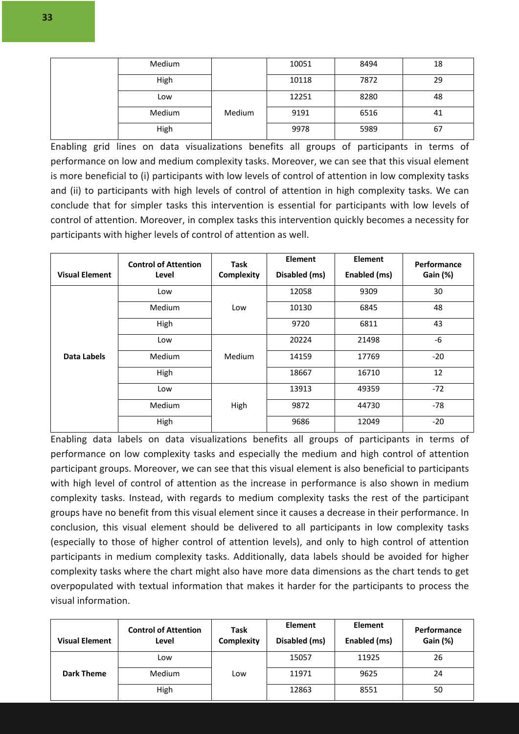| Medium |        | 10051 | 8494 | 18 |
|--------|--------|-------|------|----|
| High   |        | 10118 | 7872 | 29 |
| Low    |        | 12251 | 8280 | 48 |
| Medium | Medium | 9191  | 6516 | 41 |
| High   |        | 9978  | 5989 | 67 |

Enabling grid lines on data visualizations benefits all groups of participants in terms of performance on low and medium complexity tasks. Moreover, we can see that this visual element is more beneficial to (i) participants with low levels of control of attention in low complexity tasks and (ii) to participants with high levels of control of attention in high complexity tasks. We can conclude that for simpler tasks this intervention is essential for participants with low levels of control of attention. Moreover, in complex tasks this intervention quickly becomes a necessity for participants with higher levels of control of attention as well.

| <b>Visual Element</b> | <b>Control of Attention</b><br>Level | <b>Task</b><br>Complexity | <b>Element</b><br>Disabled (ms) | <b>Element</b><br>Enabled (ms) | Performance<br>Gain (%) |
|-----------------------|--------------------------------------|---------------------------|---------------------------------|--------------------------------|-------------------------|
|                       | Low                                  |                           | 12058                           | 9309                           | 30                      |
|                       | Medium                               | Low                       | 10130                           | 6845                           | 48                      |
|                       | High                                 |                           | 9720                            | 6811                           | 43                      |
|                       | Low                                  | Medium                    | 20224                           | 21498                          | $-6$                    |
| Data Labels           | Medium                               |                           | 14159                           | 17769                          | $-20$                   |
|                       | High                                 |                           | 18667                           | 16710                          | 12                      |
|                       | Low                                  |                           | 13913                           | 49359                          | $-72$                   |
|                       | Medium                               | High                      | 9872                            | 44730                          | $-78$                   |
|                       | High                                 |                           | 9686                            | 12049                          | $-20$                   |

Enabling data labels on data visualizations benefits all groups of participants in terms of performance on low complexity tasks and especially the medium and high control of attention participant groups. Moreover, we can see that this visual element is also beneficial to participants with high level of control of attention as the increase in performance is also shown in medium complexity tasks. Instead, with regards to medium complexity tasks the rest of the participant groups have no benefit from this visual element since it causes a decrease in their performance. In conclusion, this visual element should be delivered to all participants in low complexity tasks (especially to those of higher control of attention levels), and only to high control of attention participants in medium complexity tasks. Additionally, data labels should be avoided for higher complexity tasks where the chart might also have more data dimensions as the chart tends to get overpopulated with textual information that makes it harder for the participants to process the visual information.

| <b>Visual Element</b> | <b>Control of Attention</b><br>Level | <b>Task</b><br>Complexity | <b>Element</b><br>Disabled (ms) | <b>Element</b><br>Enabled (ms) | Performance<br>Gain (%) |
|-----------------------|--------------------------------------|---------------------------|---------------------------------|--------------------------------|-------------------------|
|                       | Low                                  |                           | 15057                           | 11925                          | 26                      |
| Dark Theme            | <b>Medium</b>                        | Low                       | 11971                           | 9625                           | 24                      |
|                       | High                                 |                           | 12863                           | 8551                           | 50                      |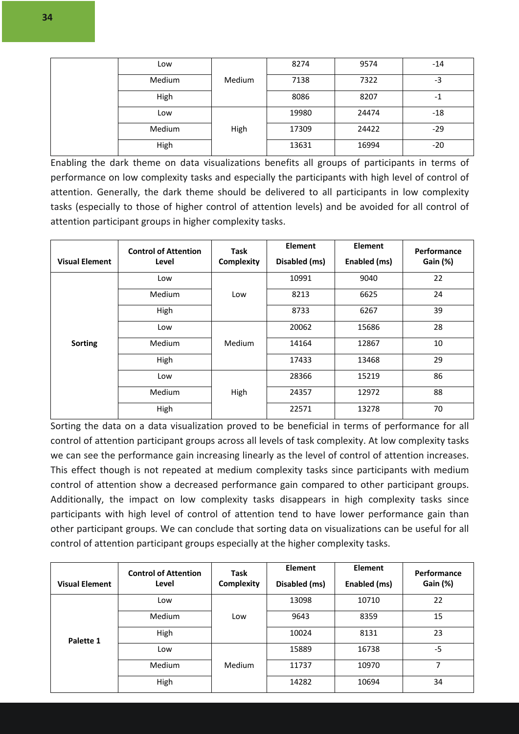|  | Low    |        | 8274  | 9574  | $-14$ |
|--|--------|--------|-------|-------|-------|
|  | Medium | Medium | 7138  | 7322  | -3    |
|  | High   |        | 8086  | 8207  | -1    |
|  | Low    |        | 19980 | 24474 | $-18$ |
|  | Medium | High   | 17309 | 24422 | $-29$ |
|  | High   |        | 13631 | 16994 | $-20$ |

Enabling the dark theme on data visualizations benefits all groups of participants in terms of performance on low complexity tasks and especially the participants with high level of control of attention. Generally, the dark theme should be delivered to all participants in low complexity tasks (especially to those of higher control of attention levels) and be avoided for all control of attention participant groups in higher complexity tasks.

| <b>Visual Element</b> | <b>Control of Attention</b><br>Level | Task<br><b>Complexity</b> | <b>Element</b><br>Disabled (ms) | <b>Element</b><br>Enabled (ms) | Performance<br>Gain (%) |
|-----------------------|--------------------------------------|---------------------------|---------------------------------|--------------------------------|-------------------------|
|                       | Low                                  |                           | 10991                           | 9040                           | 22                      |
|                       | <b>Medium</b>                        | Low                       | 8213                            | 6625                           | 24                      |
|                       | High                                 |                           | 8733                            | 6267                           | 39                      |
|                       | Low                                  | Medium                    | 20062                           | 15686                          | 28                      |
| <b>Sorting</b>        | <b>Medium</b>                        |                           | 14164                           | 12867                          | 10                      |
|                       | High                                 |                           | 17433                           | 13468                          | 29                      |
|                       | Low                                  |                           | 28366                           | 15219                          | 86                      |
|                       | Medium                               | High                      | 24357                           | 12972                          | 88                      |
|                       | High                                 |                           | 22571                           | 13278                          | 70                      |

Sorting the data on a data visualization proved to be beneficial in terms of performance for all control of attention participant groups across all levels of task complexity. At low complexity tasks we can see the performance gain increasing linearly as the level of control of attention increases. This effect though is not repeated at medium complexity tasks since participants with medium control of attention show a decreased performance gain compared to other participant groups. Additionally, the impact on low complexity tasks disappears in high complexity tasks since participants with high level of control of attention tend to have lower performance gain than other participant groups. We can conclude that sorting data on visualizations can be useful for all control of attention participant groups especially at the higher complexity tasks.

| <b>Visual Element</b> | <b>Control of Attention</b><br>Level | Task<br>Complexity | <b>Element</b><br>Disabled (ms) | <b>Element</b><br>Enabled (ms) | Performance<br>Gain (%) |
|-----------------------|--------------------------------------|--------------------|---------------------------------|--------------------------------|-------------------------|
| Palette 1             | Low                                  |                    | 13098                           | 10710                          | 22                      |
|                       | <b>Medium</b>                        | Low                | 9643                            | 8359                           | 15                      |
|                       | High                                 |                    | 10024                           | 8131                           | 23                      |
|                       | Low                                  |                    | 15889                           | 16738                          | -5                      |
|                       | Medium                               | Medium             | 11737                           | 10970                          |                         |
|                       | High                                 |                    | 14282                           | 10694                          | 34                      |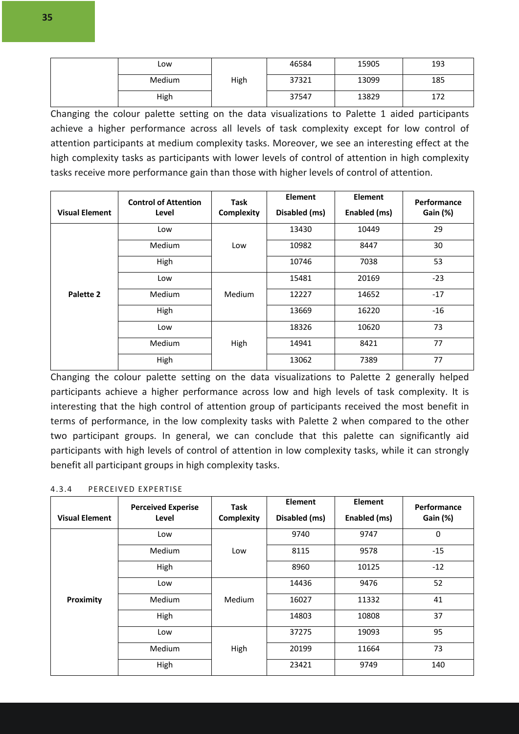| Low    |      | 46584 | 15905 | 193 |
|--------|------|-------|-------|-----|
| Medium | High | 37321 | 13099 | 185 |
| High   |      | 37547 | 13829 | 172 |

Changing the colour palette setting on the data visualizations to Palette 1 aided participants achieve a higher performance across all levels of task complexity except for low control of attention participants at medium complexity tasks. Moreover, we see an interesting effect at the high complexity tasks as participants with lower levels of control of attention in high complexity tasks receive more performance gain than those with higher levels of control of attention.

| <b>Visual Element</b> | <b>Control of Attention</b><br>Level | Task<br>Complexity | <b>Element</b><br>Disabled (ms) | <b>Element</b><br>Enabled (ms) | Performance<br>Gain (%) |
|-----------------------|--------------------------------------|--------------------|---------------------------------|--------------------------------|-------------------------|
|                       |                                      |                    |                                 |                                |                         |
|                       | Low                                  |                    | 13430                           | 10449                          | 29                      |
|                       | Medium                               | Low                | 10982                           | 8447                           | 30                      |
|                       | High                                 |                    | 10746                           | 7038                           | 53                      |
|                       | Low                                  | Medium             | 15481                           | 20169                          | $-23$                   |
| Palette 2             | Medium                               |                    | 12227                           | 14652                          | $-17$                   |
|                       | High                                 |                    | 13669                           | 16220                          | $-16$                   |
|                       | Low                                  |                    | 18326                           | 10620                          | 73                      |
|                       | Medium                               | High               | 14941                           | 8421                           | 77                      |
|                       | High                                 |                    | 13062                           | 7389                           | 77                      |

Changing the colour palette setting on the data visualizations to Palette 2 generally helped participants achieve a higher performance across low and high levels of task complexity. It is interesting that the high control of attention group of participants received the most benefit in terms of performance, in the low complexity tasks with Palette 2 when compared to the other two participant groups. In general, we can conclude that this palette can significantly aid participants with high levels of control of attention in low complexity tasks, while it can strongly benefit all participant groups in high complexity tasks.

#### 4.3.4 PERCEIVED EXPERTISE

| <b>Visual Element</b> | <b>Perceived Experise</b><br>Level | <b>Task</b><br>Complexity | <b>Element</b><br>Disabled (ms) | Element<br>Enabled (ms) | Performance<br>Gain (%) |
|-----------------------|------------------------------------|---------------------------|---------------------------------|-------------------------|-------------------------|
|                       | Low                                |                           | 9740                            | 9747                    | 0                       |
|                       | Medium                             | Low                       | 8115                            | 9578                    | $-15$                   |
|                       | High                               |                           | 8960                            | 10125                   | $-12$                   |
|                       | Low                                | Medium                    | 14436                           | 9476                    | 52                      |
| Proximity             | Medium                             |                           | 16027                           | 11332                   | 41                      |
|                       | High                               |                           | 14803                           | 10808                   | 37                      |
|                       | Low                                |                           | 37275                           | 19093                   | 95                      |
|                       | Medium                             | High                      | 20199                           | 11664                   | 73                      |
|                       | High                               |                           | 23421                           | 9749                    | 140                     |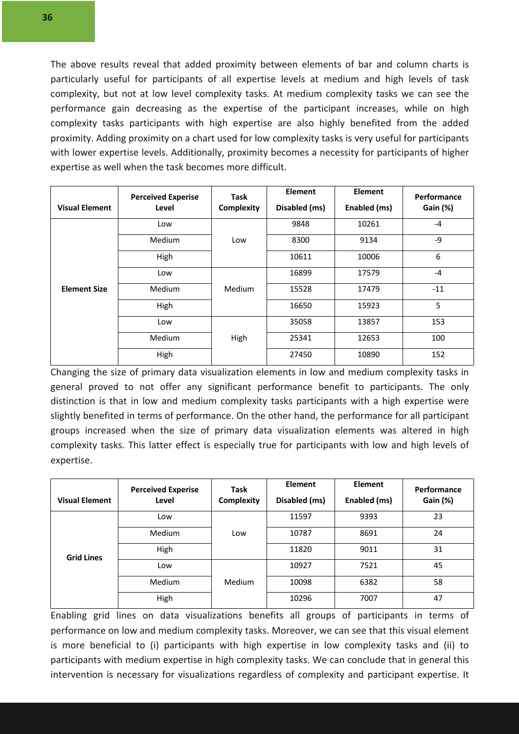The above results reveal that added proximity between elements of bar and column charts is particularly useful for participants of all expertise levels at medium and high levels of task complexity, but not at low level complexity tasks. At medium complexity tasks we can see the performance gain decreasing as the expertise of the participant increases, while on high complexity tasks participants with high expertise are also highly benefited from the added proximity. Adding proximity on a chart used for low complexity tasks is very useful for participants with lower expertise levels. Additionally, proximity becomes a necessity for participants of higher expertise as well when the task becomes more difficult.

| <b>Visual Element</b> | <b>Perceived Experise</b><br>Level | Task<br>Complexity | <b>Element</b><br>Disabled (ms) | <b>Element</b><br>Enabled (ms) | Performance<br><b>Gain (%)</b> |
|-----------------------|------------------------------------|--------------------|---------------------------------|--------------------------------|--------------------------------|
|                       | Low                                |                    | 9848                            | 10261                          | $-4$                           |
|                       | Medium                             | Low                | 8300                            | 9134                           | $-9$                           |
|                       | High                               |                    | 10611                           | 10006                          | 6                              |
|                       | Low                                | <b>Medium</b>      | 16899                           | 17579                          | $-4$                           |
| <b>Element Size</b>   | Medium                             |                    | 15528                           | 17479                          | $-11$                          |
|                       | High                               |                    | 16650                           | 15923                          | 5                              |
|                       | Low                                |                    | 35058                           | 13857                          | 153                            |
|                       | Medium                             | High               | 25341                           | 12653                          | 100                            |
|                       | High                               |                    | 27450                           | 10890                          | 152                            |

Changing the size of primary data visualization elements in low and medium complexity tasks in general proved to not offer any significant performance benefit to participants. The only distinction is that in low and medium complexity tasks participants with a high expertise were slightly benefited in terms of performance. On the other hand, the performance for all participant groups increased when the size of primary data visualization elements was altered in high complexity tasks. This latter effect is especially true for participants with low and high levels of expertise.

| <b>Visual Element</b> | <b>Perceived Experise</b><br>Level | Task<br>Complexity | <b>Element</b><br>Disabled (ms) | <b>Element</b><br>Enabled (ms) | Performance<br><b>Gain (%)</b> |
|-----------------------|------------------------------------|--------------------|---------------------------------|--------------------------------|--------------------------------|
|                       | Low                                |                    | 11597                           | 9393                           | 23                             |
| <b>Grid Lines</b>     | <b>Medium</b>                      | Low                | 10787                           | 8691                           | 24                             |
|                       | High                               |                    | 11820                           | 9011                           | 31                             |
|                       | Low                                | Medium             | 10927                           | 7521                           | 45                             |
|                       | <b>Medium</b>                      |                    | 10098                           | 6382                           | 58                             |
|                       | High                               |                    | 10296                           | 7007                           | 47                             |

Enabling grid lines on data visualizations benefits all groups of participants in terms of performance on low and medium complexity tasks. Moreover, we can see that this visual element is more beneficial to (i) participants with high expertise in low complexity tasks and (ii) to participants with medium expertise in high complexity tasks. We can conclude that in general this intervention is necessary for visualizations regardless of complexity and participant expertise. It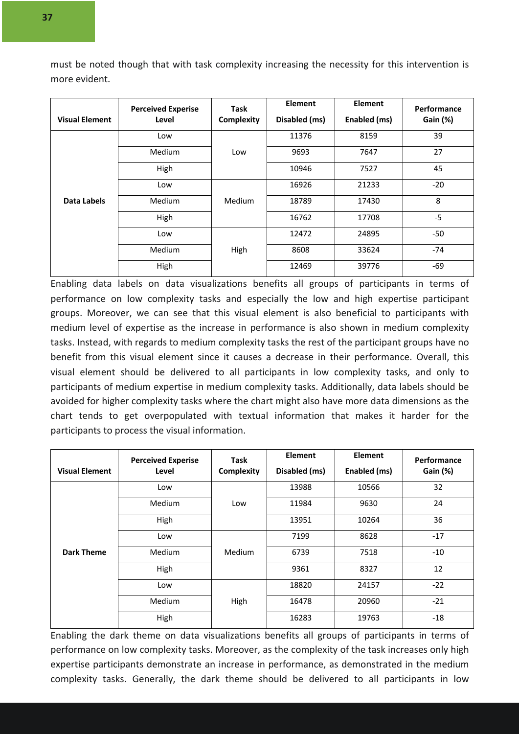| <b>Visual Element</b> | <b>Perceived Experise</b><br>Level | Task<br>Complexity | Element<br>Disabled (ms) | Element<br>Enabled (ms) | Performance<br>Gain (%) |
|-----------------------|------------------------------------|--------------------|--------------------------|-------------------------|-------------------------|
|                       | Low                                |                    | 11376                    | 8159                    | 39                      |
|                       | Medium                             | Low                | 9693                     | 7647                    | 27                      |
|                       | High                               |                    | 10946                    | 7527                    | 45                      |
|                       | Low                                | <b>Medium</b>      | 16926                    | 21233                   | $-20$                   |
| Data Labels           | Medium                             |                    | 18789                    | 17430                   | 8                       |
|                       | High                               |                    | 16762                    | 17708                   | $-5$                    |
|                       | Low                                |                    | 12472                    | 24895                   | $-50$                   |
|                       | Medium                             | High               | 8608                     | 33624                   | $-74$                   |
|                       | High                               |                    | 12469                    | 39776                   | $-69$                   |

must be noted though that with task complexity increasing the necessity for this intervention is more evident.

Enabling data labels on data visualizations benefits all groups of participants in terms of performance on low complexity tasks and especially the low and high expertise participant groups. Moreover, we can see that this visual element is also beneficial to participants with medium level of expertise as the increase in performance is also shown in medium complexity tasks. Instead, with regards to medium complexity tasks the rest of the participant groups have no benefit from this visual element since it causes a decrease in their performance. Overall, this visual element should be delivered to all participants in low complexity tasks, and only to participants of medium expertise in medium complexity tasks. Additionally, data labels should be avoided for higher complexity tasks where the chart might also have more data dimensions as the chart tends to get overpopulated with textual information that makes it harder for the participants to process the visual information.

|                       | <b>Perceived Experise</b> | Task          | <b>Element</b> | <b>Element</b> | Performance     |
|-----------------------|---------------------------|---------------|----------------|----------------|-----------------|
| <b>Visual Element</b> | Level                     | Complexity    | Disabled (ms)  | Enabled (ms)   | <b>Gain (%)</b> |
|                       | Low                       |               | 13988          | 10566          | 32              |
|                       | Medium                    | Low           | 11984          | 9630           | 24              |
|                       | High                      |               | 13951          | 10264          | 36              |
|                       | Low                       | <b>Medium</b> | 7199           | 8628           | $-17$           |
| Dark Theme            | Medium                    |               | 6739           | 7518           | $-10$           |
|                       | High                      |               | 9361           | 8327           | 12              |
|                       | Low                       | High          | 18820          | 24157          | $-22$           |
|                       | Medium                    |               | 16478          | 20960          | $-21$           |
|                       | High                      |               | 16283          | 19763          | $-18$           |

Enabling the dark theme on data visualizations benefits all groups of participants in terms of performance on low complexity tasks. Moreover, as the complexity of the task increases only high expertise participants demonstrate an increase in performance, as demonstrated in the medium complexity tasks. Generally, the dark theme should be delivered to all participants in low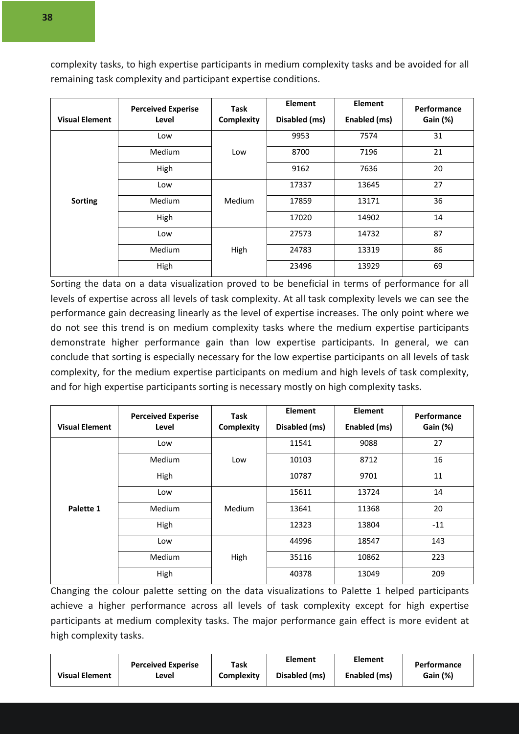complexity tasks, to high expertise participants in medium complexity tasks and be avoided for all remaining task complexity and participant expertise conditions.

| <b>Visual Element</b> | <b>Perceived Experise</b><br>Level | <b>Task</b><br>Complexity | <b>Element</b><br>Disabled (ms) | <b>Element</b><br>Enabled (ms) | Performance<br>Gain (%) |
|-----------------------|------------------------------------|---------------------------|---------------------------------|--------------------------------|-------------------------|
|                       | Low                                |                           | 9953                            | 7574                           | 31                      |
|                       | Medium                             | Low                       | 8700                            | 7196                           | 21                      |
|                       | High                               |                           | 9162                            | 7636                           | 20                      |
|                       | Low                                | Medium                    | 17337                           | 13645                          | 27                      |
| <b>Sorting</b>        | Medium                             |                           | 17859                           | 13171                          | 36                      |
|                       | High                               |                           | 17020                           | 14902                          | 14                      |
|                       | Low                                |                           | 27573                           | 14732                          | 87                      |
|                       | Medium                             | High                      | 24783                           | 13319                          | 86                      |
|                       | High                               |                           | 23496                           | 13929                          | 69                      |

Sorting the data on a data visualization proved to be beneficial in terms of performance for all levels of expertise across all levels of task complexity. At all task complexity levels we can see the performance gain decreasing linearly as the level of expertise increases. The only point where we do not see this trend is on medium complexity tasks where the medium expertise participants demonstrate higher performance gain than low expertise participants. In general, we can conclude that sorting is especially necessary for the low expertise participants on all levels of task complexity, for the medium expertise participants on medium and high levels of task complexity, and for high expertise participants sorting is necessary mostly on high complexity tasks.

| <b>Visual Element</b> | <b>Perceived Experise</b><br>Level | Task<br><b>Complexity</b> | <b>Element</b><br>Disabled (ms) | <b>Element</b><br>Enabled (ms) | Performance<br>Gain (%) |
|-----------------------|------------------------------------|---------------------------|---------------------------------|--------------------------------|-------------------------|
|                       | Low                                |                           | 11541                           | 9088                           | 27                      |
|                       | Medium                             | Low                       | 10103                           | 8712                           | 16                      |
|                       | High                               |                           | 10787                           | 9701                           | 11                      |
|                       | Low                                | <b>Medium</b>             | 15611                           | 13724                          | 14                      |
| Palette 1             | Medium                             |                           | 13641                           | 11368                          | 20                      |
|                       | High                               |                           | 12323                           | 13804                          | $-11$                   |
|                       | Low                                |                           | 44996                           | 18547                          | 143                     |
|                       | Medium                             | High                      | 35116                           | 10862                          | 223                     |
|                       | High                               |                           | 40378                           | 13049                          | 209                     |

Changing the colour palette setting on the data visualizations to Palette 1 helped participants achieve a higher performance across all levels of task complexity except for high expertise participants at medium complexity tasks. The major performance gain effect is more evident at high complexity tasks.

|                       | <b>Perceived Experise</b> | Task       | <b>Element</b> | <b>Element</b> | Performance |
|-----------------------|---------------------------|------------|----------------|----------------|-------------|
| <b>Visual Element</b> | ∟evel                     | Complexity | Disabled (ms)  | Enabled (ms)   | Gain (%)    |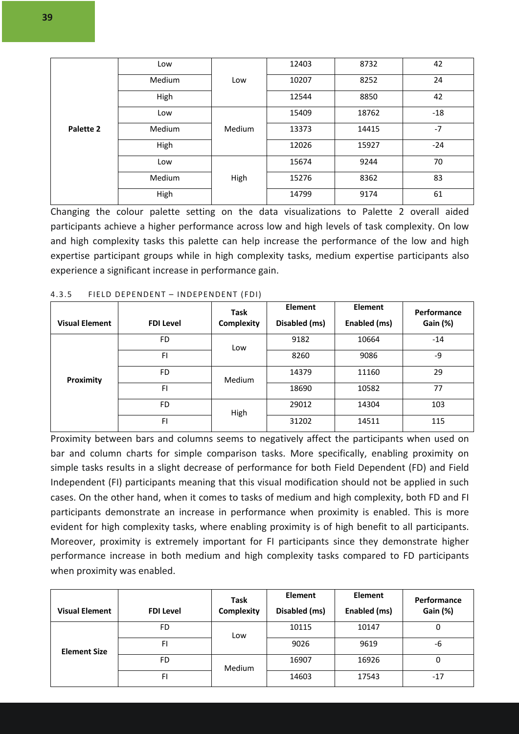|           | Low    |        | 12403 | 8732  | 42    |
|-----------|--------|--------|-------|-------|-------|
|           | Medium | Low    | 10207 | 8252  | 24    |
|           | High   |        | 12544 | 8850  | 42    |
|           | Low    |        | 15409 | 18762 | $-18$ |
| Palette 2 | Medium | Medium | 13373 | 14415 | $-7$  |
|           | High   |        | 12026 | 15927 | $-24$ |
|           | Low    |        | 15674 | 9244  | 70    |
|           | Medium | High   | 15276 | 8362  | 83    |
|           | High   |        | 14799 | 9174  | 61    |

Changing the colour palette setting on the data visualizations to Palette 2 overall aided participants achieve a higher performance across low and high levels of task complexity. On low and high complexity tasks this palette can help increase the performance of the low and high expertise participant groups while in high complexity tasks, medium expertise participants also experience a significant increase in performance gain.

| <b>Visual Element</b> | <b>FDI Level</b> | Task<br>Complexity | Element<br>Disabled (ms) | <b>Element</b><br>Enabled (ms) | Performance<br><b>Gain (%)</b> |
|-----------------------|------------------|--------------------|--------------------------|--------------------------------|--------------------------------|
|                       | FD               | Low                | 9182                     | 10664                          | $-14$                          |
| Proximity             | FI               |                    | 8260                     | 9086                           | -9                             |
|                       | <b>FD</b>        | Medium             | 14379                    | 11160                          | 29                             |
|                       | FI               |                    | 18690                    | 10582                          | 77                             |
|                       | FD               | High               | 29012                    | 14304                          | 103                            |
|                       | FI               |                    | 31202                    | 14511                          | 115                            |

#### 4.3.5 FIELD DEPENDENT – INDEPENDENT (FDI)

Proximity between bars and columns seems to negatively affect the participants when used on bar and column charts for simple comparison tasks. More specifically, enabling proximity on simple tasks results in a slight decrease of performance for both Field Dependent (FD) and Field Independent (FI) participants meaning that this visual modification should not be applied in such cases. On the other hand, when it comes to tasks of medium and high complexity, both FD and FI participants demonstrate an increase in performance when proximity is enabled. This is more evident for high complexity tasks, where enabling proximity is of high benefit to all participants. Moreover, proximity is extremely important for FI participants since they demonstrate higher performance increase in both medium and high complexity tasks compared to FD participants when proximity was enabled.

| <b>Visual Element</b> | <b>FDI Level</b> | Task<br>Complexity | <b>Element</b><br>Disabled (ms) | <b>Element</b><br>Enabled (ms) | Performance<br><b>Gain (%)</b> |
|-----------------------|------------------|--------------------|---------------------------------|--------------------------------|--------------------------------|
| <b>Element Size</b>   | FD               | Low                | 10115                           | 10147                          | U                              |
|                       | FI               |                    | 9026                            | 9619                           | -6                             |
|                       | FD               | Medium             | 16907                           | 16926                          | 0                              |
|                       | FI               |                    | 14603                           | 17543                          | -17                            |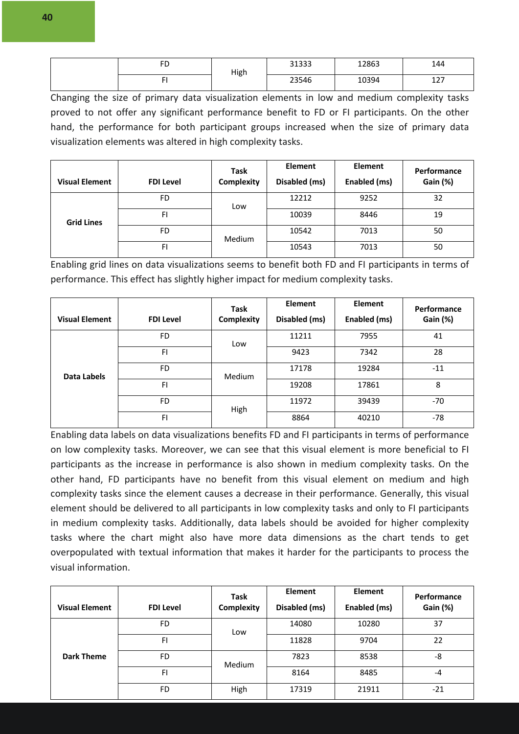| гυ | High | 31333 | 12863 | 144<br>- - -               |
|----|------|-------|-------|----------------------------|
|    |      | 23546 | 10394 | $\sim$ $\sim$ $\sim$<br>ᅩᄼ |

Changing the size of primary data visualization elements in low and medium complexity tasks proved to not offer any significant performance benefit to FD or FI participants. On the other hand, the performance for both participant groups increased when the size of primary data visualization elements was altered in high complexity tasks.

| <b>Visual Element</b> | <b>FDI Level</b> | Task<br>Complexity | <b>Element</b><br>Disabled (ms) | <b>Element</b><br>Enabled (ms) | Performance<br>Gain (%) |
|-----------------------|------------------|--------------------|---------------------------------|--------------------------------|-------------------------|
| <b>Grid Lines</b>     | FD               | LOW                | 12212                           | 9252                           | 32                      |
|                       | FI               |                    | 10039                           | 8446                           | 19                      |
|                       | FD               | Medium             | 10542                           | 7013                           | 50                      |
|                       | FI               |                    | 10543                           | 7013                           | 50                      |

Enabling grid lines on data visualizations seems to benefit both FD and FI participants in terms of performance. This effect has slightly higher impact for medium complexity tasks.

| <b>Visual Element</b> | <b>FDI Level</b> | Task<br>Complexity | <b>Element</b><br>Disabled (ms) | <b>Element</b><br>Enabled (ms) | Performance<br><b>Gain (%)</b> |
|-----------------------|------------------|--------------------|---------------------------------|--------------------------------|--------------------------------|
|                       | <b>FD</b>        | Low                | 11211                           | 7955                           | 41                             |
| Data Labels           | FI               |                    | 9423                            | 7342                           | 28                             |
|                       | FD               | <b>Medium</b>      | 17178                           | 19284                          | $-11$                          |
|                       | FI               |                    | 19208                           | 17861                          | 8                              |
|                       | FD               | High               | 11972                           | 39439                          | $-70$                          |
|                       | FI               |                    | 8864                            | 40210                          | $-78$                          |

Enabling data labels on data visualizations benefits FD and FI participants in terms of performance on low complexity tasks. Moreover, we can see that this visual element is more beneficial to FI participants as the increase in performance is also shown in medium complexity tasks. On the other hand, FD participants have no benefit from this visual element on medium and high complexity tasks since the element causes a decrease in their performance. Generally, this visual element should be delivered to all participants in low complexity tasks and only to FI participants in medium complexity tasks. Additionally, data labels should be avoided for higher complexity tasks where the chart might also have more data dimensions as the chart tends to get overpopulated with textual information that makes it harder for the participants to process the visual information.

| <b>Visual Element</b> | <b>FDI Level</b> | Task<br>Complexity | Element<br>Disabled (ms) | <b>Element</b><br>Enabled (ms) | Performance<br><b>Gain (%)</b> |
|-----------------------|------------------|--------------------|--------------------------|--------------------------------|--------------------------------|
| <b>Dark Theme</b>     | FD               | Low                | 14080                    | 10280                          | 37                             |
|                       | FI               |                    | 11828                    | 9704                           | 22                             |
|                       | FD               | <b>Medium</b>      | 7823                     | 8538                           | -8                             |
|                       | FI               |                    | 8164                     | 8485                           | $-4$                           |
|                       | FD               | High               | 17319                    | 21911                          | $-21$                          |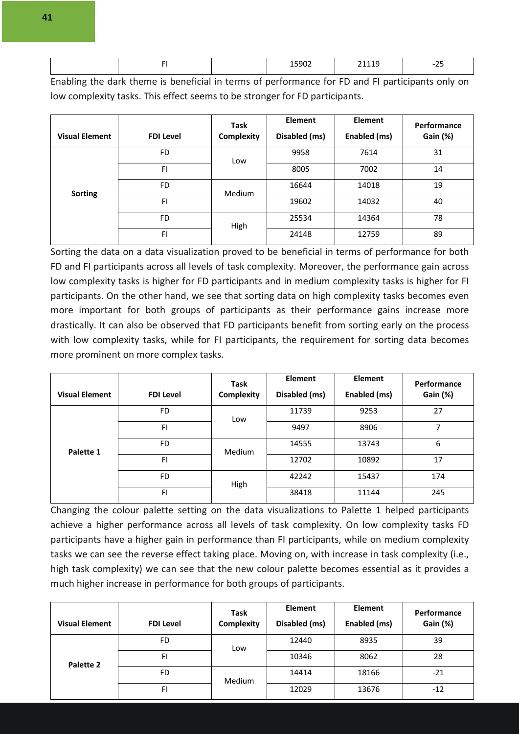|  | 15902 | 71110<br>----- | $\sim$ $\sim$<br>-- |
|--|-------|----------------|---------------------|
|  |       |                |                     |

Enabling the dark theme is beneficial in terms of performance for FD and FI participants only on low complexity tasks. This effect seems to be stronger for FD participants.

| <b>Visual Element</b> | <b>FDI Level</b> | Task<br>Complexity | <b>Element</b><br>Disabled (ms) | <b>Element</b><br>Enabled (ms) | Performance<br><b>Gain (%)</b> |
|-----------------------|------------------|--------------------|---------------------------------|--------------------------------|--------------------------------|
| <b>Sorting</b>        | <b>FD</b>        | Low                | 9958                            | 7614                           | 31                             |
|                       | FI               |                    | 8005                            | 7002                           | 14                             |
|                       | FD               | <b>Medium</b>      | 16644                           | 14018                          | 19                             |
|                       | FI               |                    | 19602                           | 14032                          | 40                             |
|                       | FD               | High               | 25534                           | 14364                          | 78                             |
|                       | FI               |                    | 24148                           | 12759                          | 89                             |

Sorting the data on a data visualization proved to be beneficial in terms of performance for both FD and FI participants across all levels of task complexity. Moreover, the performance gain across low complexity tasks is higher for FD participants and in medium complexity tasks is higher for FI participants. On the other hand, we see that sorting data on high complexity tasks becomes even more important for both groups of participants as their performance gains increase more drastically. It can also be observed that FD participants benefit from sorting early on the process with low complexity tasks, while for FI participants, the requirement for sorting data becomes more prominent on more complex tasks.

| <b>Visual Element</b> | <b>FDI Level</b> | Task<br>Complexity | <b>Element</b><br>Disabled (ms) | <b>Element</b><br>Enabled (ms) | Performance<br>Gain (%) |
|-----------------------|------------------|--------------------|---------------------------------|--------------------------------|-------------------------|
| Palette 1             | FD               | Low                | 11739                           | 9253                           | 27                      |
|                       | FI               |                    | 9497                            | 8906                           | 7                       |
|                       | FD               | Medium             | 14555                           | 13743                          | 6                       |
|                       | FI               |                    | 12702                           | 10892                          | 17                      |
|                       | FD               | High               | 42242                           | 15437                          | 174                     |
|                       | FI               |                    | 38418                           | 11144                          | 245                     |

Changing the colour palette setting on the data visualizations to Palette 1 helped participants achieve a higher performance across all levels of task complexity. On low complexity tasks FD participants have a higher gain in performance than FI participants, while on medium complexity tasks we can see the reverse effect taking place. Moving on, with increase in task complexity (i.e., high task complexity) we can see that the new colour palette becomes essential as it provides a much higher increase in performance for both groups of participants.

| <b>Visual Element</b> | <b>FDI Level</b> | <b>Task</b><br>Complexity | <b>Element</b><br>Disabled (ms) | <b>Element</b><br>Enabled (ms) | Performance<br>Gain (%) |
|-----------------------|------------------|---------------------------|---------------------------------|--------------------------------|-------------------------|
| Palette 2             | FD               | LOW                       | 12440                           | 8935                           | 39                      |
|                       | FI               |                           | 10346                           | 8062                           | 28                      |
|                       | FD               | <b>Medium</b>             | 14414                           | 18166                          | $-21$                   |
|                       | FI               |                           | 12029                           | 13676                          | $-12$                   |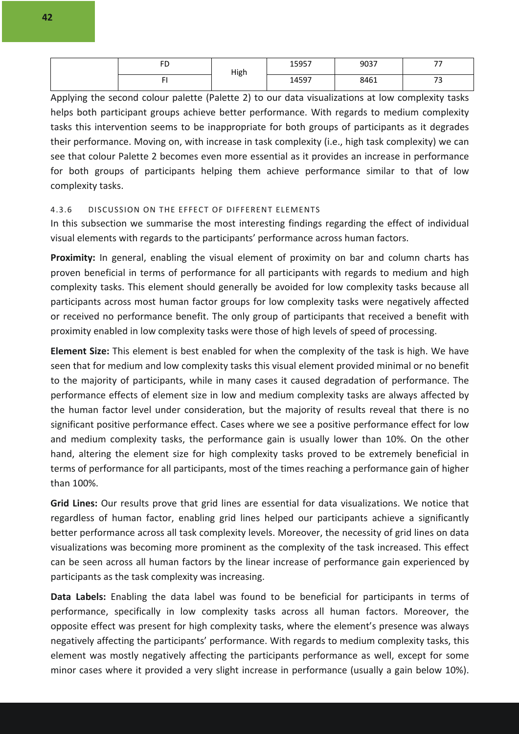| --<br><u>טו</u> | High | 15057<br>100 <i>1</i> | 9037 | --<br>. . |
|-----------------|------|-----------------------|------|-----------|
|                 |      | 14597                 | 8461 | $-$       |

Applying the second colour palette (Palette 2) to our data visualizations at low complexity tasks helps both participant groups achieve better performance. With regards to medium complexity tasks this intervention seems to be inappropriate for both groups of participants as it degrades their performance. Moving on, with increase in task complexity (i.e., high task complexity) we can see that colour Palette 2 becomes even more essential as it provides an increase in performance for both groups of participants helping them achieve performance similar to that of low complexity tasks.

#### 4.3.6 DISCUSSION ON THE EFFECT OF DIFFERENT ELEMENTS

In this subsection we summarise the most interesting findings regarding the effect of individual visual elements with regards to the participants' performance across human factors.

**Proximity:** In general, enabling the visual element of proximity on bar and column charts has proven beneficial in terms of performance for all participants with regards to medium and high complexity tasks. This element should generally be avoided for low complexity tasks because all participants across most human factor groups for low complexity tasks were negatively affected or received no performance benefit. The only group of participants that received a benefit with proximity enabled in low complexity tasks were those of high levels of speed of processing.

**Element Size:** This element is best enabled for when the complexity of the task is high. We have seen that for medium and low complexity tasks this visual element provided minimal or no benefit to the majority of participants, while in many cases it caused degradation of performance. The performance effects of element size in low and medium complexity tasks are always affected by the human factor level under consideration, but the majority of results reveal that there is no significant positive performance effect. Cases where we see a positive performance effect for low and medium complexity tasks, the performance gain is usually lower than 10%. On the other hand, altering the element size for high complexity tasks proved to be extremely beneficial in terms of performance for all participants, most of the times reaching a performance gain of higher than 100%.

**Grid Lines:** Our results prove that grid lines are essential for data visualizations. We notice that regardless of human factor, enabling grid lines helped our participants achieve a significantly better performance across all task complexity levels. Moreover, the necessity of grid lines on data visualizations was becoming more prominent as the complexity of the task increased. This effect can be seen across all human factors by the linear increase of performance gain experienced by participants as the task complexity was increasing.

**Data Labels:** Enabling the data label was found to be beneficial for participants in terms of performance, specifically in low complexity tasks across all human factors. Moreover, the opposite effect was present for high complexity tasks, where the element's presence was always negatively affecting the participants' performance. With regards to medium complexity tasks, this element was mostly negatively affecting the participants performance as well, except for some minor cases where it provided a very slight increase in performance (usually a gain below 10%).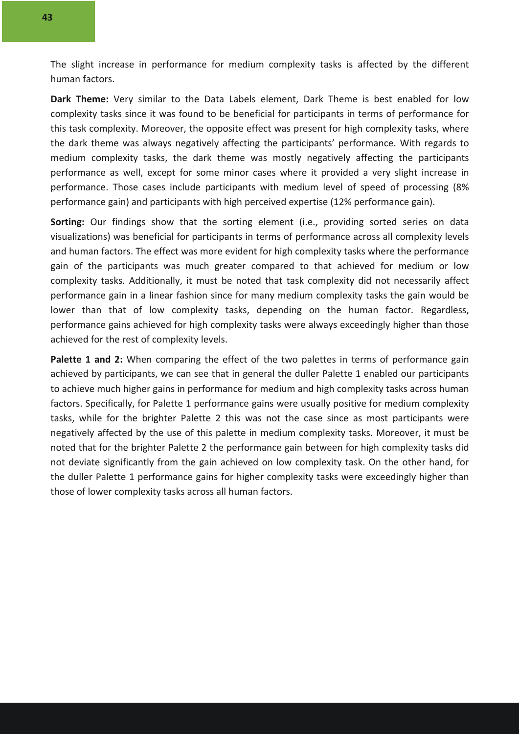The slight increase in performance for medium complexity tasks is affected by the different human factors.

**Dark Theme:** Very similar to the Data Labels element, Dark Theme is best enabled for low complexity tasks since it was found to be beneficial for participants in terms of performance for this task complexity. Moreover, the opposite effect was present for high complexity tasks, where the dark theme was always negatively affecting the participants' performance. With regards to medium complexity tasks, the dark theme was mostly negatively affecting the participants performance as well, except for some minor cases where it provided a very slight increase in performance. Those cases include participants with medium level of speed of processing (8% performance gain) and participants with high perceived expertise (12% performance gain).

**Sorting:** Our findings show that the sorting element (i.e., providing sorted series on data visualizations) was beneficial for participants in terms of performance across all complexity levels and human factors. The effect was more evident for high complexity tasks where the performance gain of the participants was much greater compared to that achieved for medium or low complexity tasks. Additionally, it must be noted that task complexity did not necessarily affect performance gain in a linear fashion since for many medium complexity tasks the gain would be lower than that of low complexity tasks, depending on the human factor. Regardless, performance gains achieved for high complexity tasks were always exceedingly higher than those achieved for the rest of complexity levels.

**Palette 1 and 2:** When comparing the effect of the two palettes in terms of performance gain achieved by participants, we can see that in general the duller Palette 1 enabled our participants to achieve much higher gains in performance for medium and high complexity tasks across human factors. Specifically, for Palette 1 performance gains were usually positive for medium complexity tasks, while for the brighter Palette 2 this was not the case since as most participants were negatively affected by the use of this palette in medium complexity tasks. Moreover, it must be noted that for the brighter Palette 2 the performance gain between for high complexity tasks did not deviate significantly from the gain achieved on low complexity task. On the other hand, for the duller Palette 1 performance gains for higher complexity tasks were exceedingly higher than those of lower complexity tasks across all human factors.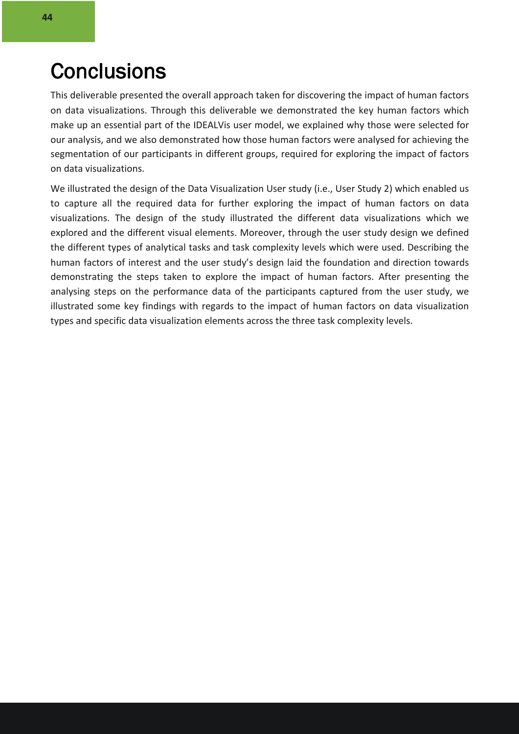# **Conclusions**

This deliverable presented the overall approach taken for discovering the impact of human factors on data visualizations. Through this deliverable we demonstrated the key human factors which make up an essential part of the IDEALVis user model, we explained why those were selected for our analysis, and we also demonstrated how those human factors were analysed for achieving the segmentation of our participants in different groups, required for exploring the impact of factors on data visualizations.

We illustrated the design of the Data Visualization User study (i.e., User Study 2) which enabled us to capture all the required data for further exploring the impact of human factors on data visualizations. The design of the study illustrated the different data visualizations which we explored and the different visual elements. Moreover, through the user study design we defined the different types of analytical tasks and task complexity levels which were used. Describing the human factors of interest and the user study's design laid the foundation and direction towards demonstrating the steps taken to explore the impact of human factors. After presenting the analysing steps on the performance data of the participants captured from the user study, we illustrated some key findings with regards to the impact of human factors on data visualization types and specific data visualization elements across the three task complexity levels.